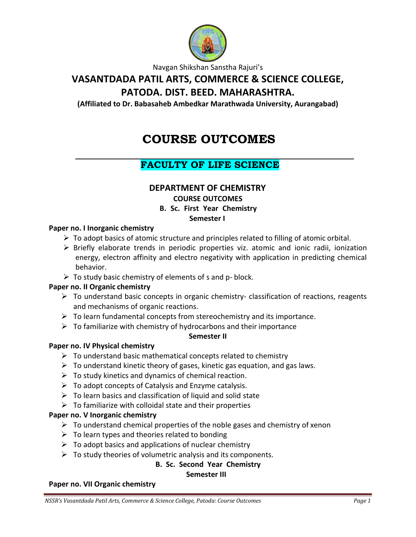

Navgan Shikshan Sanstha Rajuri's

# **VASANTDADA PATIL ARTS, COMMERCE & SCIENCE COLLEGE,**

# **PATODA. DIST. BEED. MAHARASHTRA.**

**(Affiliated to Dr. Babasaheb Ambedkar Marathwada University, Aurangabad)**

# **COURSE OUTCOMES**

# **FACULTY OF LIFE SCIENCE**

### **DEPARTMENT OF CHEMISTRY**

**COURSE OUTCOMES**

### **B. Sc. First Year Chemistry**

### **Semester I**

#### **Paper no. I Inorganic chemistry**

- $\triangleright$  To adopt basics of atomic structure and principles related to filling of atomic orbital.
- $\triangleright$  Briefly elaborate trends in periodic properties viz. atomic and ionic radii, ionization energy, electron affinity and electro negativity with application in predicting chemical behavior.
- $\triangleright$  To study basic chemistry of elements of s and p- block.

#### **Paper no. II Organic chemistry**

- $\triangleright$  To understand basic concepts in organic chemistry- classification of reactions, reagents and mechanisms of organic reactions.
- $\triangleright$  To learn fundamental concepts from stereochemistry and its importance.
- $\triangleright$  To familiarize with chemistry of hydrocarbons and their importance

#### **Semester II**

#### **Paper no. IV Physical chemistry**

- $\triangleright$  To understand basic mathematical concepts related to chemistry
- $\triangleright$  To understand kinetic theory of gases, kinetic gas equation, and gas laws.
- $\triangleright$  To study kinetics and dynamics of chemical reaction.
- $\triangleright$  To adopt concepts of Catalysis and Enzyme catalysis.
- $\triangleright$  To learn basics and classification of liquid and solid state
- $\triangleright$  To familiarize with colloidal state and their properties

#### **Paper no. V Inorganic chemistry**

- $\triangleright$  To understand chemical properties of the noble gases and chemistry of xenon
- $\triangleright$  To learn types and theories related to bonding
- $\triangleright$  To adopt basics and applications of nuclear chemistry
- $\triangleright$  To study theories of volumetric analysis and its components.

### **B. Sc. Second Year Chemistry**

#### **Semester III**

#### **Paper no. VII Organic chemistry**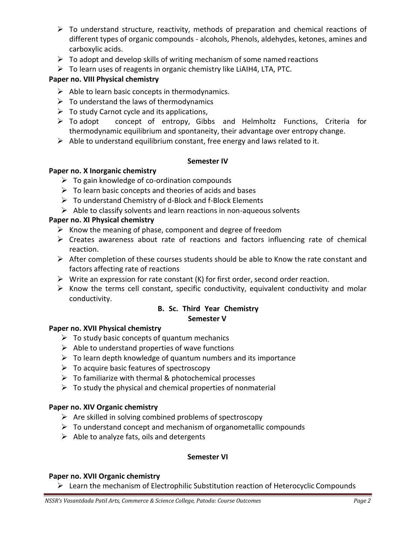- $\triangleright$  To understand structure, reactivity, methods of preparation and chemical reactions of different types of organic compounds - alcohols, Phenols, aldehydes, ketones, amines and carboxylic acids.
- $\triangleright$  To adopt and develop skills of writing mechanism of some named reactions
- $\triangleright$  To learn uses of reagents in organic chemistry like LiAIH4, LTA, PTC.

#### **Paper no. VIII Physical chemistry**

- $\triangleright$  Able to learn basic concepts in thermodynamics.
- $\triangleright$  To understand the laws of thermodynamics
- $\triangleright$  To study Carnot cycle and its applications,
- To adopt concept of entropy, Gibbs and Helmholtz Functions, Criteria for thermodynamic equilibrium and spontaneity, their advantage over entropy change.
- $\triangleright$  Able to understand equilibrium constant, free energy and laws related to it.

#### **Semester IV**

#### **Paper no. X Inorganic chemistry**

- $\triangleright$  To gain knowledge of co-ordination compounds
- $\triangleright$  To learn basic concepts and theories of acids and bases
- $\triangleright$  To understand Chemistry of d-Block and f-Block Elements
- $\triangleright$  Able to classify solvents and learn reactions in non-aqueous solvents

### **Paper no. XI Physical chemistry**

- $\triangleright$  Know the meaning of phase, component and degree of freedom
- $\triangleright$  Creates awareness about rate of reactions and factors influencing rate of chemical reaction.
- $\triangleright$  After completion of these courses students should be able to Know the rate constant and factors affecting rate of reactions
- $\triangleright$  Write an expression for rate constant (K) for first order, second order reaction.
- $\triangleright$  Know the terms cell constant, specific conductivity, equivalent conductivity and molar conductivity.

# **B. Sc. Third Year Chemistry**

#### **Semester V**

#### **Paper no. XVII Physical chemistry**

- $\triangleright$  To study basic concepts of quantum mechanics
- $\triangleright$  Able to understand properties of wave functions
- $\triangleright$  To learn depth knowledge of quantum numbers and its importance
- $\triangleright$  To acquire basic features of spectroscopy
- $\triangleright$  To familiarize with thermal & photochemical processes
- $\triangleright$  To study the physical and chemical properties of nonmaterial

### **Paper no. XIV Organic chemistry**

- $\triangleright$  Are skilled in solving combined problems of spectroscopy
- $\triangleright$  To understand concept and mechanism of organometallic compounds
- $\triangleright$  Able to analyze fats, oils and detergents

#### **Semester VI**

#### **Paper no. XVII Organic chemistry**

 $\triangleright$  Learn the mechanism of Electrophilic Substitution reaction of Heterocyclic Compounds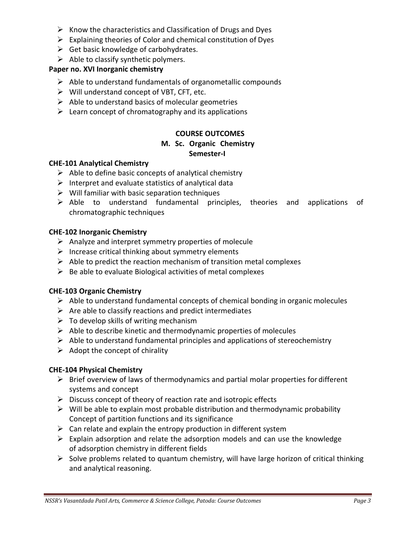- $\triangleright$  Know the characteristics and Classification of Drugs and Dyes
- $\triangleright$  Explaining theories of Color and chemical constitution of Dyes
- $\triangleright$  Get basic knowledge of carbohydrates.
- $\triangleright$  Able to classify synthetic polymers.

### **Paper no. XVI Inorganic chemistry**

- $\triangleright$  Able to understand fundamentals of organometallic compounds
- $\triangleright$  Will understand concept of VBT, CFT, etc.
- $\triangleright$  Able to understand basics of molecular geometries
- $\triangleright$  Learn concept of chromatography and its applications

### **COURSE OUTCOMES**

#### **M. Sc. Organic Chemistry Semester-I**

#### **CHE-101 Analytical Chemistry**

- $\triangleright$  Able to define basic concepts of analytical chemistry
- $\triangleright$  Interpret and evaluate statistics of analytical data
- $\triangleright$  Will familiar with basic separation techniques
- $\triangleright$  Able to understand fundamental principles, theories and applications of chromatographic techniques

#### **CHE-102 Inorganic Chemistry**

- $\triangleright$  Analyze and interpret symmetry properties of molecule
- $\triangleright$  Increase critical thinking about symmetry elements
- $\triangleright$  Able to predict the reaction mechanism of transition metal complexes
- $\triangleright$  Be able to evaluate Biological activities of metal complexes

#### **CHE-103 Organic Chemistry**

- $\triangleright$  Able to understand fundamental concepts of chemical bonding in organic molecules
- $\triangleright$  Are able to classify reactions and predict intermediates
- $\triangleright$  To develop skills of writing mechanism
- $\triangleright$  Able to describe kinetic and thermodynamic properties of molecules
- $\triangleright$  Able to understand fundamental principles and applications of stereochemistry
- $\triangleright$  Adopt the concept of chirality

#### **CHE-104 Physical Chemistry**

- $\triangleright$  Brief overview of laws of thermodynamics and partial molar properties for different systems and concept
- $\triangleright$  Discuss concept of theory of reaction rate and isotropic effects
- $\triangleright$  Will be able to explain most probable distribution and thermodynamic probability Concept of partition functions and its significance
- $\triangleright$  Can relate and explain the entropy production in different system
- $\triangleright$  Explain adsorption and relate the adsorption models and can use the knowledge of adsorption chemistry in different fields
- $\triangleright$  Solve problems related to quantum chemistry, will have large horizon of critical thinking and analytical reasoning.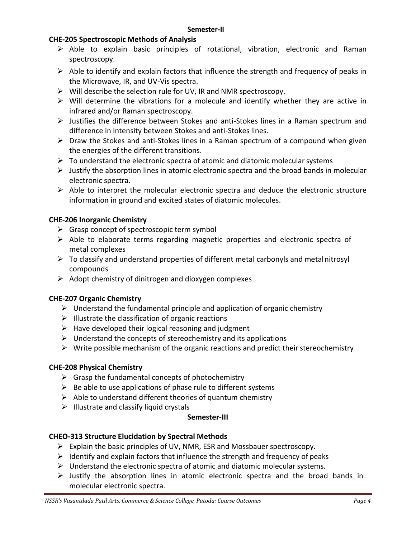### **CHE-205 Spectroscopic Methods of Analysis**

- $\triangleright$  Able to explain basic principles of rotational, vibration, electronic and Raman spectroscopy.
- $\triangleright$  Able to identify and explain factors that influence the strength and frequency of peaks in the Microwave, IR, and UV-Vis spectra.
- $\triangleright$  Will describe the selection rule for UV, IR and NMR spectroscopy.
- $\triangleright$  Will determine the vibrations for a molecule and identify whether they are active in infrared and/or Raman spectroscopy.
- $\triangleright$  Justifies the difference between Stokes and anti-Stokes lines in a Raman spectrum and difference in intensity between Stokes and anti-Stokes lines.
- $\triangleright$  Draw the Stokes and anti-Stokes lines in a Raman spectrum of a compound when given the energies of the different transitions.
- $\triangleright$  To understand the electronic spectra of atomic and diatomic molecular systems
- $\triangleright$  Justify the absorption lines in atomic electronic spectra and the broad bands in molecular electronic spectra.
- $\triangleright$  Able to interpret the molecular electronic spectra and deduce the electronic structure information in ground and excited states of diatomic molecules.

### **CHE-206 Inorganic Chemistry**

- $\triangleright$  Grasp concept of spectroscopic term symbol
- $\triangleright$  Able to elaborate terms regarding magnetic properties and electronic spectra of metal complexes
- $\triangleright$  To classify and understand properties of different metal carbonyls and metalnitrosyl compounds
- $\triangleright$  Adopt chemistry of dinitrogen and dioxygen complexes

### **CHE-207 Organic Chemistry**

- $\triangleright$  Understand the fundamental principle and application of organic chemistry
- $\triangleright$  Illustrate the classification of organic reactions
- $\triangleright$  Have developed their logical reasoning and judgment
- $\triangleright$  Understand the concepts of stereochemistry and its applications
- $\triangleright$  Write possible mechanism of the organic reactions and predict their stereochemistry

### **CHE-208 Physical Chemistry**

- $\triangleright$  Grasp the fundamental concepts of photochemistry
- $\triangleright$  Be able to use applications of phase rule to different systems
- $\triangleright$  Able to understand different theories of quantum chemistry
- $\triangleright$  Illustrate and classify liquid crystals

#### **Semester-III**

### **CHEO-313 Structure Elucidation by Spectral Methods**

- $\triangleright$  Explain the basic principles of UV, NMR, ESR and Mossbauer spectroscopy.
- $\triangleright$  Identify and explain factors that influence the strength and frequency of peaks
- $\triangleright$  Understand the electronic spectra of atomic and diatomic molecular systems.
- $\triangleright$  Justify the absorption lines in atomic electronic spectra and the broad bands in molecular electronic spectra.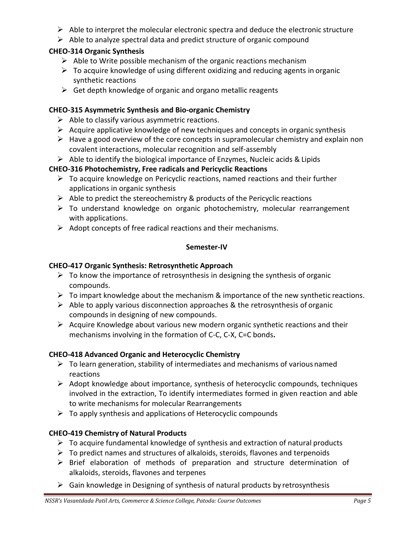- $\triangleright$  Able to interpret the molecular electronic spectra and deduce the electronic structure
- $\triangleright$  Able to analyze spectral data and predict structure of organic compound

### **CHEO-314 Organic Synthesis**

- $\triangleright$  Able to Write possible mechanism of the organic reactions mechanism
- $\triangleright$  To acquire knowledge of using different oxidizing and reducing agents in organic synthetic reactions
- $\triangleright$  Get depth knowledge of organic and organo metallic reagents

#### **CHEO-315 Asymmetric Synthesis and Bio-organic Chemistry**

- $\triangleright$  Able to classify various asymmetric reactions.
- $\triangleright$  Acquire applicative knowledge of new techniques and concepts in organic synthesis
- $\triangleright$  Have a good overview of the core concepts in supramolecular chemistry and explain non covalent interactions, molecular recognition and self-assembly
- $\triangleright$  Able to identify the biological importance of Enzymes, Nucleic acids & Lipids

### **CHEO-316 Photochemistry, Free radicals and Pericyclic Reactions**

- $\triangleright$  To acquire knowledge on Pericyclic reactions, named reactions and their further applications in organic synthesis
- $\triangleright$  Able to predict the stereochemistry & products of the Pericyclic reactions
- $\triangleright$  To understand knowledge on organic photochemistry, molecular rearrangement with applications.
- $\triangleright$  Adopt concepts of free radical reactions and their mechanisms.

#### **Semester-IV**

### **CHEO-417 Organic Synthesis: Retrosynthetic Approach**

- $\triangleright$  To know the importance of retrosynthesis in designing the synthesis of organic compounds.
- $\triangleright$  To impart knowledge about the mechanism & importance of the new synthetic reactions.
- $\triangleright$  Able to apply various disconnection approaches & the retrosynthesis of organic compounds in designing of new compounds.
- $\triangleright$  Acquire Knowledge about various new modern organic synthetic reactions and their mechanisms involving in the formation of C-C, C-X, C=C bonds**.**

### **CHEO-418 Advanced Organic and Heterocyclic Chemistry**

- $\triangleright$  To learn generation, stability of intermediates and mechanisms of various named reactions
- $\triangleright$  Adopt knowledge about importance, synthesis of heterocyclic compounds, techniques involved in the extraction, To identify intermediates formed in given reaction and able to write mechanisms for molecular Rearrangements
- $\triangleright$  To apply synthesis and applications of Heterocyclic compounds

### **CHEO-419 Chemistry of Natural Products**

- $\triangleright$  To acquire fundamental knowledge of synthesis and extraction of natural products
- $\triangleright$  To predict names and structures of alkaloids, steroids, flavones and terpenoids
- $\triangleright$  Brief elaboration of methods of preparation and structure determination of alkaloids, steroids, flavones and terpenes
- $\triangleright$  Gain knowledge in Designing of synthesis of natural products by retrosynthesis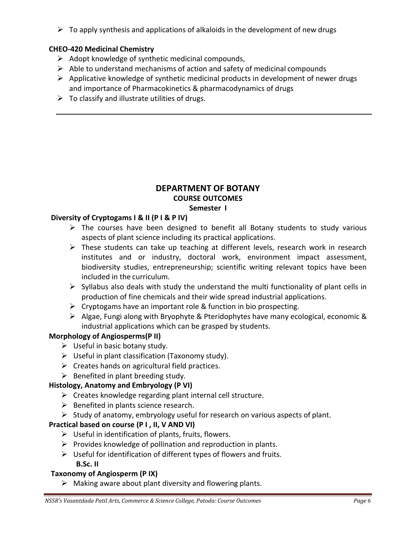$\triangleright$  To apply synthesis and applications of alkaloids in the development of new drugs

### **CHEO-420 Medicinal Chemistry**

- $\triangleright$  Adopt knowledge of synthetic medicinal compounds,
- $\triangleright$  Able to understand mechanisms of action and safety of medicinal compounds
- $\triangleright$  Applicative knowledge of synthetic medicinal products in development of newer drugs and importance of Pharmacokinetics & pharmacodynamics of drugs
- $\triangleright$  To classify and illustrate utilities of drugs.

#### **DEPARTMENT OF BOTANY COURSE OUTCOMES Semester I**

### **Diversity of Cryptogams I & II (P I & P IV)**

- $\triangleright$  The courses have been designed to benefit all Botany students to study various aspects of plant science including its practical applications.
- $\triangleright$  These students can take up teaching at different levels, research work in research institutes and or industry, doctoral work, environment impact assessment, biodiversity studies, entrepreneurship; scientific writing relevant topics have been included in the curriculum.
- $\triangleright$  Syllabus also deals with study the understand the multi functionality of plant cells in production of fine chemicals and their wide spread industrial applications.
- $\triangleright$  Cryptogams have an important role & function in bio prospecting.
- Algae, Fungi along with Bryophyte & Pteridophytes have many ecological, economic & industrial applications which can be grasped by students.

### **Morphology of Angiosperms(P II)**

- $\triangleright$  Useful in basic botany study.
- $\triangleright$  Useful in plant classification (Taxonomy study).
- $\triangleright$  Creates hands on agricultural field practices.
- $\triangleright$  Benefited in plant breeding study.

### **Histology, Anatomy and Embryology (P VI)**

- $\triangleright$  Creates knowledge regarding plant internal cell structure.
- $\triangleright$  Benefited in plants science research.
- $\triangleright$  Study of anatomy, embryology useful for research on various aspects of plant.

### **Practical based on course (P I , II, V AND VI)**

- $\triangleright$  Useful in identification of plants, fruits, flowers.
- $\triangleright$  Provides knowledge of pollination and reproduction in plants.
- $\triangleright$  Useful for identification of different types of flowers and fruits. **B.Sc. II**

### **Taxonomy of Angiosperm (P IX)**

 $\triangleright$  Making aware about plant diversity and flowering plants.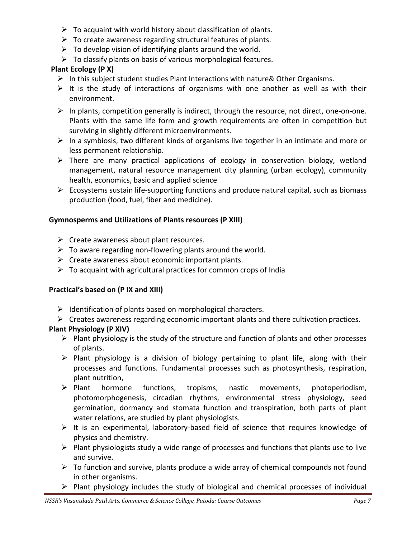- $\triangleright$  To acquaint with world history about classification of plants.
- $\triangleright$  To create awareness regarding structural features of plants.
- $\triangleright$  To develop vision of identifying plants around the world.
- $\triangleright$  To classify plants on basis of various morphological features.

### **Plant Ecology (P X)**

- $\triangleright$  In this subject student studies Plant Interactions with nature & Other Organisms.
- $\triangleright$  It is the study of interactions of organisms with one another as well as with their environment.
- $\triangleright$  In plants, competition generally is indirect, through the resource, not direct, one-on-one. Plants with the same life form and growth requirements are often in competition but surviving in slightly different microenvironments.
- $\triangleright$  In a symbiosis, two different kinds of organisms live together in an intimate and more or less permanent relationship.
- $\triangleright$  There are many practical applications of ecology in conservation biology, wetland management, natural resource management city planning (urban ecology), community health, economics, basic and applied science
- $\triangleright$  Ecosystems sustain life-supporting functions and produce natural capital, such as biomass production (food, fuel, fiber and medicine).

### **Gymnosperms and Utilizations of Plants resources (P XIII)**

- $\triangleright$  Create awareness about plant resources.
- $\triangleright$  To aware regarding non-flowering plants around the world.
- $\triangleright$  Create awareness about economic important plants.
- $\triangleright$  To acquaint with agricultural practices for common crops of India

### **Practical's based on (P IX and XIII)**

- $\triangleright$  Identification of plants based on morphological characters.
- $\triangleright$  Creates awareness regarding economic important plants and there cultivation practices.

### **Plant Physiology (P XIV)**

- $\triangleright$  Plant physiology is the study of the structure and function of plants and other processes of plants.
- $\triangleright$  Plant physiology is a division of biology pertaining to plant life, along with their processes and functions. Fundamental processes such as photosynthesis, respiration, plant nutrition,
- $\triangleright$  Plant hormone functions, tropisms, nastic movements, photoperiodism, photomorphogenesis, circadian rhythms, environmental stress physiology, seed germination, dormancy and stomata function and transpiration, both parts of plant water relations, are studied by plant physiologists.
- $\triangleright$  It is an experimental, laboratory-based field of science that requires knowledge of physics and chemistry.
- $\triangleright$  Plant physiologists study a wide range of processes and functions that plants use to live and survive.
- $\triangleright$  To function and survive, plants produce a wide array of chemical compounds not found in other organisms.
- $\triangleright$  Plant physiology includes the study of biological and chemical processes of individual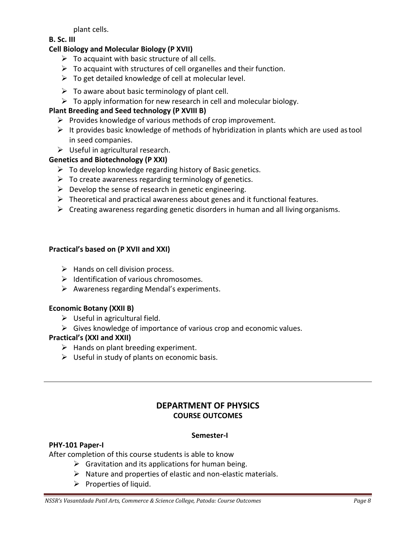plant cells.

#### **B. Sc. III**

### **Cell Biology and Molecular Biology (P XVII)**

- $\triangleright$  To acquaint with basic structure of all cells.
- $\triangleright$  To acquaint with structures of cell organelles and their function.
- $\triangleright$  To get detailed knowledge of cell at molecular level.
- $\triangleright$  To aware about basic terminology of plant cell.
- $\triangleright$  To apply information for new research in cell and molecular biology.

### **Plant Breeding and Seed technology (P XVIII B)**

- $\triangleright$  Provides knowledge of various methods of crop improvement.
- $\triangleright$  It provides basic knowledge of methods of hybridization in plants which are used astool in seed companies.
- $\triangleright$  Useful in agricultural research.

### **Genetics and Biotechnology (P XXI)**

- $\triangleright$  To develop knowledge regarding history of Basic genetics.
- $\triangleright$  To create awareness regarding terminology of genetics.
- $\triangleright$  Develop the sense of research in genetic engineering.
- $\triangleright$  Theoretical and practical awareness about genes and it functional features.
- $\triangleright$  Creating awareness regarding genetic disorders in human and all living organisms.

#### **Practical's based on (P XVII and XXI)**

- $\triangleright$  Hands on cell division process.
- $\triangleright$  Identification of various chromosomes.
- $\triangleright$  Awareness regarding Mendal's experiments.

#### **Economic Botany (XXII B)**

- $\triangleright$  Useful in agricultural field.
- $\triangleright$  Gives knowledge of importance of various crop and economic values.

### **Practical's (XXI and XXII)**

- $\triangleright$  Hands on plant breeding experiment.
- $\triangleright$  Useful in study of plants on economic basis.

### **DEPARTMENT OF PHYSICS COURSE OUTCOMES**

#### **Semester-I**

#### **PHY-101 Paper-I**

After completion of this course students is able to know

- $\triangleright$  Gravitation and its applications for human being.
- $\triangleright$  Nature and properties of elastic and non-elastic materials.
- $\triangleright$  Properties of liquid.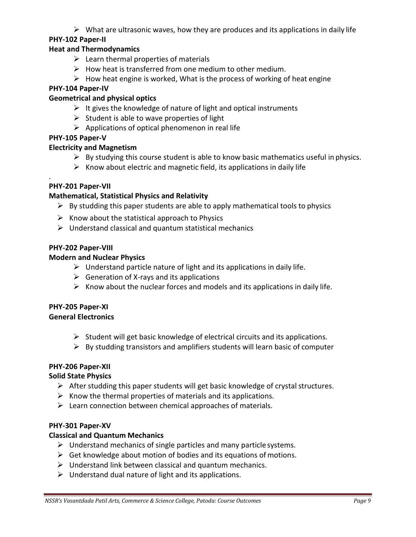$\triangleright$  What are ultrasonic waves, how they are produces and its applications in daily life

### **PHY-102 Paper-II**

### **Heat and Thermodynamics**

- $\triangleright$  Learn thermal properties of materials
- $\triangleright$  How heat is transferred from one medium to other medium.
- $\triangleright$  How heat engine is worked, What is the process of working of heat engine

### **PHY-104 Paper-IV**

### **Geometrical and physical optics**

- $\triangleright$  It gives the knowledge of nature of light and optical instruments
- $\triangleright$  Student is able to wave properties of light
- $\triangleright$  Applications of optical phenomenon in real life

### **PHY-105 Paper-V**

### **Electricity and Magnetism**

- $\triangleright$  By studying this course student is able to know basic mathematics useful in physics.
- $\triangleright$  Know about electric and magnetic field, its applications in daily life

### **PHY-201 Paper-VII**

.

### **Mathematical, Statistical Physics and Relativity**

- $\triangleright$  By studding this paper students are able to apply mathematical tools to physics
- $\triangleright$  Know about the statistical approach to Physics
- $\triangleright$  Understand classical and quantum statistical mechanics

### **PHY-202 Paper-VIII**

### **Modern and Nuclear Physics**

- $\triangleright$  Understand particle nature of light and its applications in daily life.
- $\triangleright$  Generation of X-rays and its applications
- $\triangleright$  Know about the nuclear forces and models and its applications in daily life.

#### **PHY-205 Paper-XI General Electronics**

- $\triangleright$  Student will get basic knowledge of electrical circuits and its applications.
- $\triangleright$  By studding transistors and amplifiers students will learn basic of computer

### **PHY-206 Paper-XII**

### **Solid State Physics**

- $\triangleright$  After studding this paper students will get basic knowledge of crystal structures.
- $\triangleright$  Know the thermal properties of materials and its applications.
- $\triangleright$  Learn connection between chemical approaches of materials.

### **PHY-301 Paper-XV**

### **Classical and Quantum Mechanics**

- $\triangleright$  Understand mechanics of single particles and many particle systems.
- $\triangleright$  Get knowledge about motion of bodies and its equations of motions.
- $\triangleright$  Understand link between classical and quantum mechanics.
- $\triangleright$  Understand dual nature of light and its applications.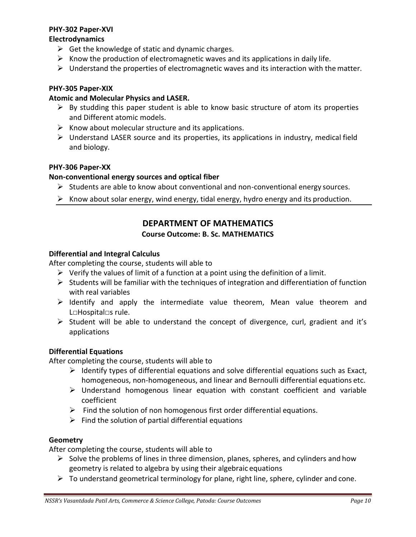#### **PHY-302 Paper-XVI**

#### **Electrodynamics**

- $\triangleright$  Get the knowledge of static and dynamic charges.
- $\triangleright$  Know the production of electromagnetic waves and its applications in daily life.
- $\triangleright$  Understand the properties of electromagnetic waves and its interaction with the matter.

### **PHY-305 Paper-XIX**

### **Atomic and Molecular Physics and LASER.**

- $\triangleright$  By studding this paper student is able to know basic structure of atom its properties and Different atomic models.
- $\triangleright$  Know about molecular structure and its applications.
- $\triangleright$  Understand LASER source and its properties, its applications in industry, medical field and biology.

### **PHY-306 Paper-XX**

### **Non-conventional energy sources and optical fiber**

- $\triangleright$  Students are able to know about conventional and non-conventional energy sources.
- $\triangleright$  Know about solar energy, wind energy, tidal energy, hydro energy and its production.

## **DEPARTMENT OF MATHEMATICS**

### **Course Outcome: B. Sc. MATHEMATICS**

### **Differential and Integral Calculus**

After completing the course, students will able to

- $\triangleright$  Verify the values of limit of a function at a point using the definition of a limit.
- $\triangleright$  Students will be familiar with the techniques of integration and differentiation of function with real variables
- $\triangleright$  Identify and apply the intermediate value theorem, Mean value theorem and L□Hospital□s rule.
- $\triangleright$  Student will be able to understand the concept of divergence, curl, gradient and it's applications

### **Differential Equations**

After completing the course, students will able to

- $\triangleright$  Identify types of differential equations and solve differential equations such as Exact, homogeneous, non-homogeneous, and linear and Bernoulli differential equations etc.
- $\triangleright$  Understand homogenous linear equation with constant coefficient and variable coefficient
- $\triangleright$  Find the solution of non homogenous first order differential equations.
- $\triangleright$  Find the solution of partial differential equations

#### **Geometry**

After completing the course, students will able to

- $\triangleright$  Solve the problems of lines in three dimension, planes, spheres, and cylinders and how geometry is related to algebra by using their algebraic equations
- $\triangleright$  To understand geometrical terminology for plane, right line, sphere, cylinder and cone.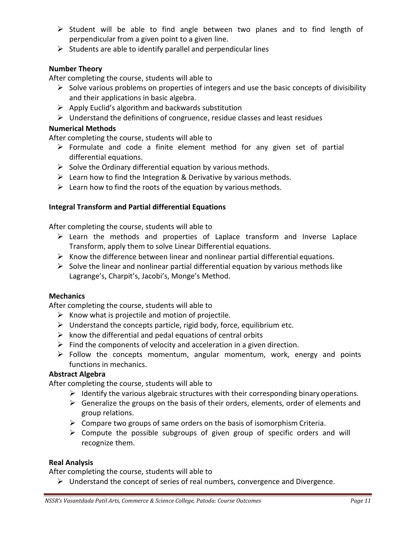- $\triangleright$  Student will be able to find angle between two planes and to find length of perpendicular from a given point to a given line.
- $\triangleright$  Students are able to identify parallel and perpendicular lines

### **Number Theory**

After completing the course, students will able to

- $\triangleright$  Solve various problems on properties of integers and use the basic concepts of divisibility and their applications in basic algebra.
- $\triangleright$  Apply Euclid's algorithm and backwards substitution
- $\triangleright$  Understand the definitions of congruence, residue classes and least residues

### **Numerical Methods**

After completing the course, students will able to

- $\triangleright$  Formulate and code a finite element method for any given set of partial differential equations.
- $\triangleright$  Solve the Ordinary differential equation by various methods.
- $\triangleright$  Learn how to find the Integration & Derivative by various methods.
- $\triangleright$  Learn how to find the roots of the equation by various methods.

### **Integral Transform and Partial differential Equations**

After completing the course, students will able to

- $\triangleright$  Learn the methods and properties of Laplace transform and Inverse Laplace Transform, apply them to solve Linear Differential equations.
- $\triangleright$  Know the difference between linear and nonlinear partial differential equations.
- $\triangleright$  Solve the linear and nonlinear partial differential equation by various methods like Lagrange's, Charpit's, Jacobi's, Monge's Method.

#### **Mechanics**

After completing the course, students will able to

- $\triangleright$  Know what is projectile and motion of projectile.
- $\triangleright$  Understand the concepts particle, rigid body, force, equilibrium etc.
- $\triangleright$  know the differential and pedal equations of central orbits
- $\triangleright$  Find the components of velocity and acceleration in a given direction.
- $\triangleright$  Follow the concepts momentum, angular momentum, work, energy and points functions in mechanics.

#### **Abstract Algebra**

After completing the course, students will able to

- $\triangleright$  Identify the various algebraic structures with their corresponding binary operations.
- $\triangleright$  Generalize the groups on the basis of their orders, elements, order of elements and group relations.
- $\triangleright$  Compare two groups of same orders on the basis of isomorphism Criteria.
- $\triangleright$  Compute the possible subgroups of given group of specific orders and will recognize them.

#### **Real Analysis**

After completing the course, students will able to

 $\triangleright$  Understand the concept of series of real numbers, convergence and Divergence.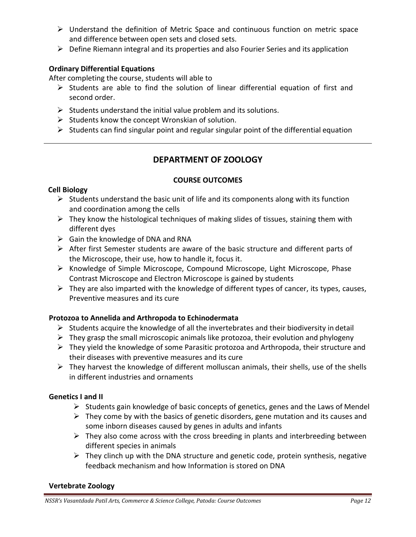- Understand the definition of Metric Space and continuous function on metric space and difference between open sets and closed sets.
- $\triangleright$  Define Riemann integral and its properties and also Fourier Series and its application

### **Ordinary Differential Equations**

After completing the course, students will able to

- $\triangleright$  Students are able to find the solution of linear differential equation of first and second order.
- $\triangleright$  Students understand the initial value problem and its solutions.
- $\triangleright$  Students know the concept Wronskian of solution.
- $\triangleright$  Students can find singular point and regular singular point of the differential equation

# **DEPARTMENT OF ZOOLOGY**

### **COURSE OUTCOMES**

### **Cell Biology**

- $\triangleright$  Students understand the basic unit of life and its components along with its function and coordination among the cells
- $\triangleright$  They know the histological techniques of making slides of tissues, staining them with different dyes
- $\triangleright$  Gain the knowledge of DNA and RNA
- $\triangleright$  After first Semester students are aware of the basic structure and different parts of the Microscope, their use, how to handle it, focus it.
- $\triangleright$  Knowledge of Simple Microscope, Compound Microscope, Light Microscope, Phase Contrast Microscope and Electron Microscope is gained by students
- $\triangleright$  They are also imparted with the knowledge of different types of cancer, its types, causes, Preventive measures and its cure

### **Protozoa to Annelida and Arthropoda to Echinodermata**

- $\triangleright$  Students acquire the knowledge of all the invertebrates and their biodiversity in detail
- $\triangleright$  They grasp the small microscopic animals like protozoa, their evolution and phylogeny
- $\triangleright$  They yield the knowledge of some Parasitic protozoa and Arthropoda, their structure and their diseases with preventive measures and its cure
- $\triangleright$  They harvest the knowledge of different molluscan animals, their shells, use of the shells in different industries and ornaments

### **Genetics I and II**

- $\triangleright$  Students gain knowledge of basic concepts of genetics, genes and the Laws of Mendel
- $\triangleright$  They come by with the basics of genetic disorders, gene mutation and its causes and some inborn diseases caused by genes in adults and infants
- $\triangleright$  They also come across with the cross breeding in plants and interbreeding between different species in animals
- $\triangleright$  They clinch up with the DNA structure and genetic code, protein synthesis, negative feedback mechanism and how Information is stored on DNA

### **Vertebrate Zoology**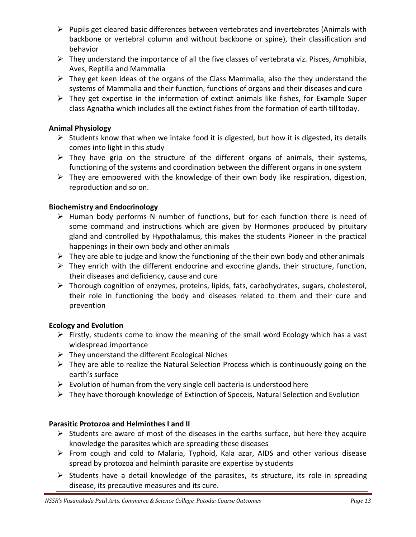- $\triangleright$  Pupils get cleared basic differences between vertebrates and invertebrates (Animals with backbone or vertebral column and without backbone or spine), their classification and behavior
- $\triangleright$  They understand the importance of all the five classes of vertebrata viz. Pisces, Amphibia, Aves, Reptilia and Mammalia
- $\triangleright$  They get keen ideas of the organs of the Class Mammalia, also the they understand the systems of Mammalia and their function, functions of organs and their diseases and cure
- $\triangleright$  They get expertise in the information of extinct animals like fishes, for Example Super class Agnatha which includes all the extinct fishes from the formation of earth tilltoday.

### **Animal Physiology**

- $\triangleright$  Students know that when we intake food it is digested, but how it is digested, its details comes into light in this study
- $\triangleright$  They have grip on the structure of the different organs of animals, their systems, functioning of the systems and coordination between the different organs in one system
- $\triangleright$  They are empowered with the knowledge of their own body like respiration, digestion, reproduction and so on.

### **Biochemistry and Endocrinology**

- $\triangleright$  Human body performs N number of functions, but for each function there is need of some command and instructions which are given by Hormones produced by pituitary gland and controlled by Hypothalamus, this makes the students Pioneer in the practical happenings in their own body and other animals
- $\triangleright$  They are able to judge and know the functioning of the their own body and other animals
- $\triangleright$  They enrich with the different endocrine and exocrine glands, their structure, function, their diseases and deficiency, cause and cure
- Thorough cognition of enzymes, proteins, lipids, fats, carbohydrates, sugars, cholesterol, their role in functioning the body and diseases related to them and their cure and prevention

#### **Ecology and Evolution**

- $\triangleright$  Firstly, students come to know the meaning of the small word Ecology which has a vast widespread importance
- $\triangleright$  They understand the different Ecological Niches
- $\triangleright$  They are able to realize the Natural Selection Process which is continuously going on the earth's surface
- $\triangleright$  Evolution of human from the very single cell bacteria is understood here
- $\triangleright$  They have thorough knowledge of Extinction of Speceis, Natural Selection and Evolution

### **Parasitic Protozoa and Helminthes I and II**

- $\triangleright$  Students are aware of most of the diseases in the earths surface, but here they acquire knowledge the parasites which are spreading these diseases
- $\triangleright$  From cough and cold to Malaria, Typhoid, Kala azar, AIDS and other various disease spread by protozoa and helminth parasite are expertise by students
- $\triangleright$  Students have a detail knowledge of the parasites, its structure, its role in spreading disease, its precautive measures and its cure.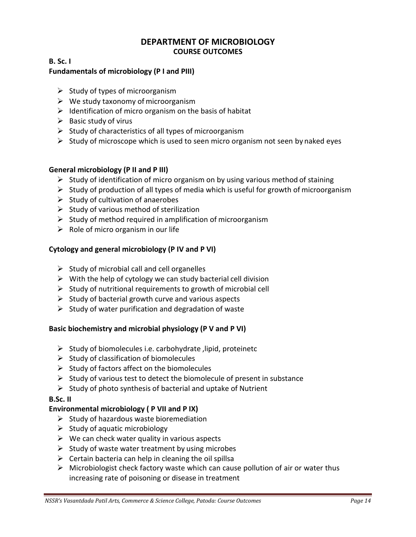### **DEPARTMENT OF MICROBIOLOGY COURSE OUTCOMES**

### **B. Sc. I**

### **Fundamentals of microbiology (P I and PIII)**

- $\triangleright$  Study of types of microorganism
- $\triangleright$  We study taxonomy of microorganism
- $\triangleright$  Identification of micro organism on the basis of habitat
- $\triangleright$  Basic study of virus
- $\triangleright$  Study of characteristics of all types of microorganism
- $\triangleright$  Study of microscope which is used to seen micro organism not seen by naked eyes

### **General microbiology (P II and P III)**

- $\triangleright$  Study of identification of micro organism on by using various method of staining
- $\triangleright$  Study of production of all types of media which is useful for growth of microorganism
- $\triangleright$  Study of cultivation of anaerobes
- $\triangleright$  Study of various method of sterilization
- $\triangleright$  Study of method required in amplification of microorganism
- $\triangleright$  Role of micro organism in our life

### **Cytology and general microbiology (P IV and P VI)**

- $\triangleright$  Study of microbial call and cell organelles
- $\triangleright$  With the help of cytology we can study bacterial cell division
- $\triangleright$  Study of nutritional requirements to growth of microbial cell
- $\triangleright$  Study of bacterial growth curve and various aspects
- $\triangleright$  Study of water purification and degradation of waste

### **Basic biochemistry and microbial physiology (P V and P VI)**

- $\triangleright$  Study of biomolecules i.e. carbohydrate , lipid, proteinetc
- $\triangleright$  Study of classification of biomolecules
- $\triangleright$  Study of factors affect on the biomolecules
- $\triangleright$  Study of various test to detect the biomolecule of present in substance
- $\triangleright$  Study of photo synthesis of bacterial and uptake of Nutrient

### **B.Sc. II**

### **Environmental microbiology ( P VII and P IX)**

- $\triangleright$  Study of hazardous waste bioremediation
- $\triangleright$  Study of aquatic microbiology
- $\triangleright$  We can check water quality in various aspects
- $\triangleright$  Study of waste water treatment by using microbes
- $\triangleright$  Certain bacteria can help in cleaning the oil spillsa
- $\triangleright$  Microbiologist check factory waste which can cause pollution of air or water thus increasing rate of poisoning or disease in treatment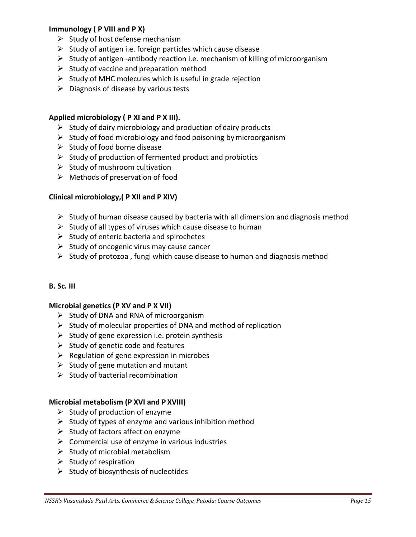### **Immunology ( P VIII and P X)**

- $\triangleright$  Study of host defense mechanism
- $\triangleright$  Study of antigen i.e. foreign particles which cause disease
- $\triangleright$  Study of antigen -antibody reaction i.e. mechanism of killing of microorganism
- $\triangleright$  Study of vaccine and preparation method
- $\triangleright$  Study of MHC molecules which is useful in grade rejection
- $\triangleright$  Diagnosis of disease by various tests

#### **Applied microbiology ( P XI and P X III).**

- $\triangleright$  Study of dairy microbiology and production of dairy products
- $\triangleright$  Study of food microbiology and food poisoning by microorganism
- $\triangleright$  Study of food borne disease
- $\triangleright$  Study of production of fermented product and probiotics
- $\triangleright$  Study of mushroom cultivation
- $\triangleright$  Methods of preservation of food

#### **Clinical microbiology,( P XII and P XIV)**

- $\triangleright$  Study of human disease caused by bacteria with all dimension and diagnosis method
- $\triangleright$  Study of all types of viruses which cause disease to human
- $\triangleright$  Study of enteric bacteria and spirochetes
- $\triangleright$  Study of oncogenic virus may cause cancer
- $\triangleright$  Study of protozoa, fungi which cause disease to human and diagnosis method

#### **B. Sc. III**

#### **Microbial genetics (P XV and P X VII)**

- $\triangleright$  Study of DNA and RNA of microorganism
- $\triangleright$  Study of molecular properties of DNA and method of replication
- $\triangleright$  Study of gene expression i.e. protein synthesis
- $\triangleright$  Study of genetic code and features
- $\triangleright$  Regulation of gene expression in microbes
- $\triangleright$  Study of gene mutation and mutant
- $\triangleright$  Study of bacterial recombination

#### **Microbial metabolism (P XVI and P XVIII)**

- $\triangleright$  Study of production of enzyme
- $\triangleright$  Study of types of enzyme and various inhibition method
- $\triangleright$  Study of factors affect on enzyme
- $\triangleright$  Commercial use of enzyme in various industries
- $\triangleright$  Study of microbial metabolism
- $\triangleright$  Study of respiration
- $\triangleright$  Study of biosynthesis of nucleotides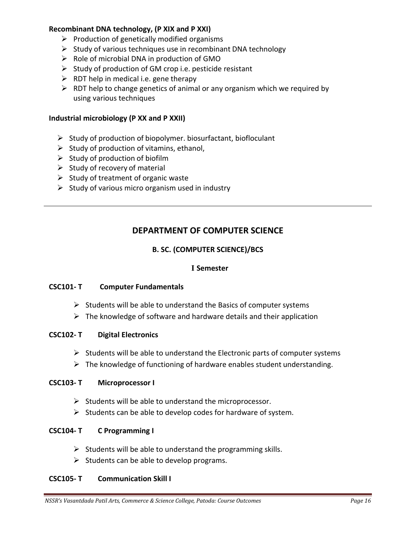### **Recombinant DNA technology, (P XIX and P XXI)**

- $\triangleright$  Production of genetically modified organisms
- $\triangleright$  Study of various techniques use in recombinant DNA technology
- $\triangleright$  Role of microbial DNA in production of GMO
- $\triangleright$  Study of production of GM crop i.e. pesticide resistant
- $\triangleright$  RDT help in medical i.e. gene therapy
- $\triangleright$  RDT help to change genetics of animal or any organism which we required by using various techniques

#### **Industrial microbiology (P XX and P XXII)**

- $\triangleright$  Study of production of biopolymer. biosurfactant, biofloculant
- $\triangleright$  Study of production of vitamins, ethanol,
- $\triangleright$  Study of production of biofilm
- $\triangleright$  Study of recovery of material
- $\triangleright$  Study of treatment of organic waste
- $\triangleright$  Study of various micro organism used in industry

## **DEPARTMENT OF COMPUTER SCIENCE**

### **B. SC. (COMPUTER SCIENCE)/BCS**

#### **I Semester**

#### **CSC101- T Computer Fundamentals**

- $\triangleright$  Students will be able to understand the Basics of computer systems
- $\triangleright$  The knowledge of software and hardware details and their application

#### **CSC102- T Digital Electronics**

- $\triangleright$  Students will be able to understand the Electronic parts of computer systems
- $\triangleright$  The knowledge of functioning of hardware enables student understanding.

#### **CSC103- T Microprocessor I**

- $\triangleright$  Students will be able to understand the microprocessor.
- $\triangleright$  Students can be able to develop codes for hardware of system.

#### **CSC104- T C Programming I**

- $\triangleright$  Students will be able to understand the programming skills.
- $\triangleright$  Students can be able to develop programs.

#### **CSC105- T Communication Skill I**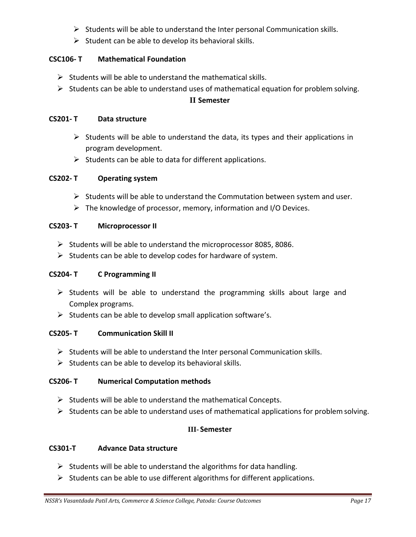- $\triangleright$  Students will be able to understand the Inter personal Communication skills.
- $\triangleright$  Student can be able to develop its behavioral skills.

### **CSC106- T Mathematical Foundation**

- $\triangleright$  Students will be able to understand the mathematical skills.
- $\triangleright$  Students can be able to understand uses of mathematical equation for problem solving.

### **II Semester**

### **CS201- T Data structure**

- $\triangleright$  Students will be able to understand the data, its types and their applications in program development.
- $\triangleright$  Students can be able to data for different applications.

### **CS202- T Operating system**

- $\triangleright$  Students will be able to understand the Commutation between system and user.
- $\triangleright$  The knowledge of processor, memory, information and I/O Devices.

### **CS203- T Microprocessor II**

- $\triangleright$  Students will be able to understand the microprocessor 8085, 8086.
- $\triangleright$  Students can be able to develop codes for hardware of system.

### **CS204- T C Programming II**

- $\triangleright$  Students will be able to understand the programming skills about large and Complex programs.
- $\triangleright$  Students can be able to develop small application software's.

### **CS205- T Communication Skill II**

- $\triangleright$  Students will be able to understand the Inter personal Communication skills.
- $\triangleright$  Students can be able to develop its behavioral skills.

### **CS206- T Numerical Computation methods**

- $\triangleright$  Students will be able to understand the mathematical Concepts.
- $\triangleright$  Students can be able to understand uses of mathematical applications for problem solving.

### **III- Semester**

### **CS301-T Advance Data structure**

- $\triangleright$  Students will be able to understand the algorithms for data handling.
- $\triangleright$  Students can be able to use different algorithms for different applications.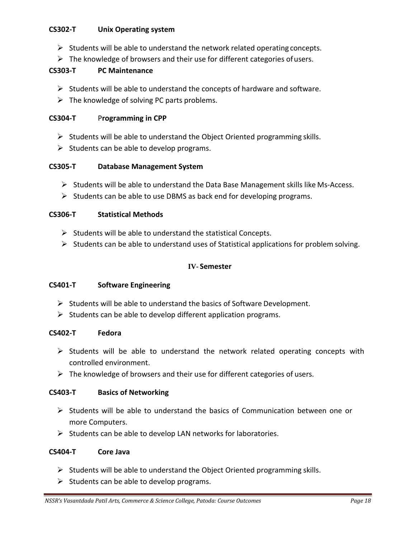### **CS302-T Unix Operating system**

- $\triangleright$  Students will be able to understand the network related operating concepts.
- $\triangleright$  The knowledge of browsers and their use for different categories of users.

### **CS303-T PC Maintenance**

- $\triangleright$  Students will be able to understand the concepts of hardware and software.
- $\triangleright$  The knowledge of solving PC parts problems.

#### **CS304-T** P**rogramming in CPP**

- $\triangleright$  Students will be able to understand the Object Oriented programming skills.
- $\triangleright$  Students can be able to develop programs.

### **CS305-T Database Management System**

- $\triangleright$  Students will be able to understand the Data Base Management skills like Ms-Access.
- $\triangleright$  Students can be able to use DBMS as back end for developing programs.

#### **CS306-T Statistical Methods**

- $\triangleright$  Students will be able to understand the statistical Concepts.
- $\triangleright$  Students can be able to understand uses of Statistical applications for problem solving.

### **IV- Semester**

#### **CS401-T Software Engineering**

- $\triangleright$  Students will be able to understand the basics of Software Development.
- $\triangleright$  Students can be able to develop different application programs.

#### **CS402-T Fedora**

- $\triangleright$  Students will be able to understand the network related operating concepts with controlled environment.
- $\triangleright$  The knowledge of browsers and their use for different categories of users.

#### **CS403-T Basics of Networking**

- $\triangleright$  Students will be able to understand the basics of Communication between one or more Computers.
- $\triangleright$  Students can be able to develop LAN networks for laboratories.

#### **CS404-T Core Java**

- $\triangleright$  Students will be able to understand the Object Oriented programming skills.
- $\triangleright$  Students can be able to develop programs.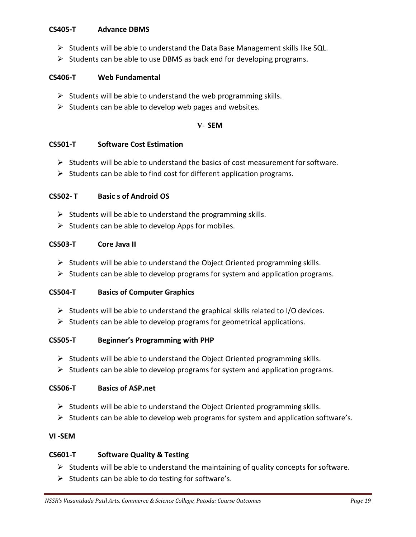#### **CS405-T Advance DBMS**

- $\triangleright$  Students will be able to understand the Data Base Management skills like SQL.
- $\triangleright$  Students can be able to use DBMS as back end for developing programs.

#### **CS406-T Web Fundamental**

- $\triangleright$  Students will be able to understand the web programming skills.
- $\triangleright$  Students can be able to develop web pages and websites.

#### **V- SEM**

#### **CS501-T Software Cost Estimation**

- $\triangleright$  Students will be able to understand the basics of cost measurement for software.
- $\triangleright$  Students can be able to find cost for different application programs.

### **CS502- T Basic s of Android OS**

- $\triangleright$  Students will be able to understand the programming skills.
- $\triangleright$  Students can be able to develop Apps for mobiles.

#### **CS503-T Core Java II**

- $\triangleright$  Students will be able to understand the Object Oriented programming skills.
- $\triangleright$  Students can be able to develop programs for system and application programs.

#### **CS504-T Basics of Computer Graphics**

- $\triangleright$  Students will be able to understand the graphical skills related to I/O devices.
- $\triangleright$  Students can be able to develop programs for geometrical applications.

#### **CS505-T Beginner's Programming with PHP**

- $\triangleright$  Students will be able to understand the Object Oriented programming skills.
- $\triangleright$  Students can be able to develop programs for system and application programs.

### **CS506-T Basics of ASP.net**

- $\triangleright$  Students will be able to understand the Object Oriented programming skills.
- $\triangleright$  Students can be able to develop web programs for system and application software's.

#### **VI -SEM**

#### **CS601-T Software Quality & Testing**

- $\triangleright$  Students will be able to understand the maintaining of quality concepts for software.
- $\triangleright$  Students can be able to do testing for software's.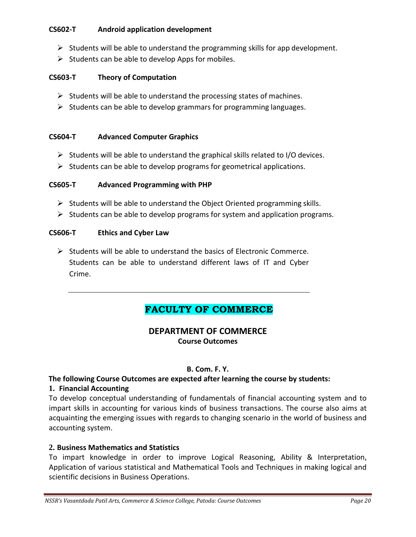### **CS602-T Android application development**

- $\triangleright$  Students will be able to understand the programming skills for app development.
- $\triangleright$  Students can be able to develop Apps for mobiles.

### **CS603-T Theory of Computation**

- $\triangleright$  Students will be able to understand the processing states of machines.
- $\triangleright$  Students can be able to develop grammars for programming languages.

#### **CS604-T Advanced Computer Graphics**

- $\triangleright$  Students will be able to understand the graphical skills related to I/O devices.
- $\triangleright$  Students can be able to develop programs for geometrical applications.

### **CS605-T Advanced Programming with PHP**

- $\triangleright$  Students will be able to understand the Object Oriented programming skills.
- $\triangleright$  Students can be able to develop programs for system and application programs.

#### **CS606-T Ethics and Cyber Law**

 $\triangleright$  Students will be able to understand the basics of Electronic Commerce. Students can be able to understand different laws of IT and Cyber Crime.

# **FACULTY OF COMMERCE**

### **DEPARTMENT OF COMMERCE Course Outcomes**

#### **B. Com. F. Y.**

### **The following Course Outcomes are expected after learning the course by students:**

#### **1. Financial Accounting**

To develop conceptual understanding of fundamentals of financial accounting system and to impart skills in accounting for various kinds of business transactions. The course also aims at acquainting the emerging issues with regards to changing scenario in the world of business and accounting system.

### **2. Business Mathematics and Statistics**

To impart knowledge in order to improve Logical Reasoning, Ability & Interpretation, Application of various statistical and Mathematical Tools and Techniques in making logical and scientific decisions in Business Operations.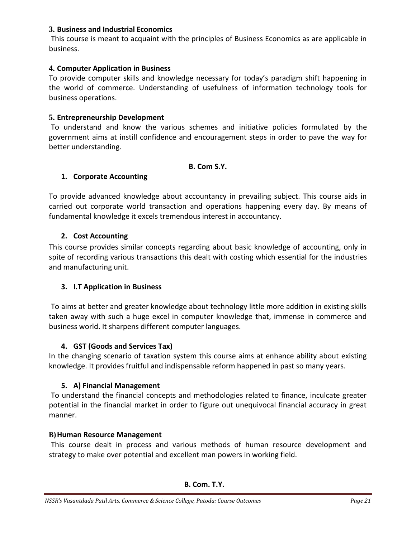### **3. Business and Industrial Economics**

This course is meant to acquaint with the principles of Business Economics as are applicable in business.

### **4. Computer Application in Business**

To provide computer skills and knowledge necessary for today's paradigm shift happening in the world of commerce. Understanding of usefulness of information technology tools for business operations.

### **5. Entrepreneurship Development**

To understand and know the various schemes and initiative policies formulated by the government aims at instill confidence and encouragement steps in order to pave the way for better understanding.

#### **B. Com S.Y.**

### **1. Corporate Accounting**

To provide advanced knowledge about accountancy in prevailing subject. This course aids in carried out corporate world transaction and operations happening every day. By means of fundamental knowledge it excels tremendous interest in accountancy.

### **2. Cost Accounting**

This course provides similar concepts regarding about basic knowledge of accounting, only in spite of recording various transactions this dealt with costing which essential for the industries and manufacturing unit.

### **3. I.T Application in Business**

To aims at better and greater knowledge about technology little more addition in existing skills taken away with such a huge excel in computer knowledge that, immense in commerce and business world. It sharpens different computer languages.

### **4. GST (Goods and Services Tax)**

In the changing scenario of taxation system this course aims at enhance ability about existing knowledge. It provides fruitful and indispensable reform happened in past so many years.

#### **5. A) Financial Management**

To understand the financial concepts and methodologies related to finance, inculcate greater potential in the financial market in order to figure out unequivocal financial accuracy in great manner.

#### **B)Human Resource Management**

This course dealt in process and various methods of human resource development and strategy to make over potential and excellent man powers in working field.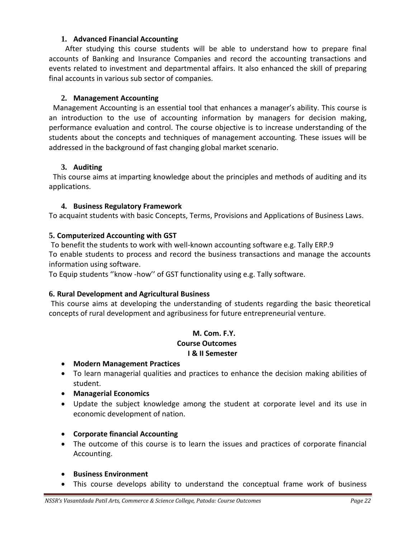#### **1. Advanced Financial Accounting**

After studying this course students will be able to understand how to prepare final accounts of Banking and Insurance Companies and record the accounting transactions and events related to investment and departmental affairs. It also enhanced the skill of preparing final accounts in various sub sector of companies.

#### **2. Management Accounting**

Management Accounting is an essential tool that enhances a manager's ability. This course is an introduction to the use of accounting information by managers for decision making, performance evaluation and control. The course objective is to increase understanding of the students about the concepts and techniques of management accounting. These issues will be addressed in the background of fast changing global market scenario.

### **3. Auditing**

This course aims at imparting knowledge about the principles and methods of auditing and its applications.

### **4. Business Regulatory Framework**

To acquaint students with basic Concepts, Terms, Provisions and Applications of Business Laws.

### **5. Computerized Accounting with GST**

To benefit the students to work with well-known accounting software e.g. Tally ERP.9 To enable students to process and record the business transactions and manage the accounts information using software.

To Equip students ''know -how'' of GST functionality using e.g. Tally software.

#### **6. Rural Development and Agricultural Business**

This course aims at developing the understanding of students regarding the basic theoretical concepts of rural development and agribusiness for future entrepreneurial venture.

### **M. Com. F.Y. Course Outcomes I & II Semester**

- **Modern Management Practices**
- To learn managerial qualities and practices to enhance the decision making abilities of student.
- **Managerial Economics**
- Update the subject knowledge among the student at corporate level and its use in economic development of nation.
- **Corporate financial Accounting**
- The outcome of this course is to learn the issues and practices of corporate financial Accounting.
- **Business Environment**
- This course develops ability to understand the conceptual frame work of business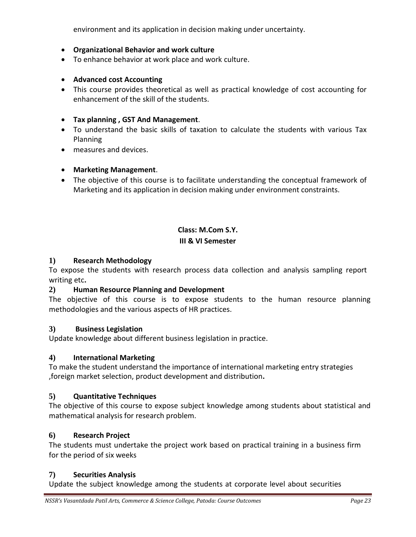environment and its application in decision making under uncertainty.

#### **Organizational Behavior and work culture**

- To enhance behavior at work place and work culture.
- **Advanced cost Accounting**
- This course provides theoretical as well as practical knowledge of cost accounting for enhancement of the skill of the students.

#### **Tax planning , GST And Management**.

- To understand the basic skills of taxation to calculate the students with various Tax Planning
- measures and devices.

#### **Marketing Management**.

 The objective of this course is to facilitate understanding the conceptual framework of Marketing and its application in decision making under environment constraints.

#### **Class: M.Com S.Y.**

#### **III & VI Semester**

#### **1) Research Methodology**

To expose the students with research process data collection and analysis sampling report writing etc**.**

#### **2) Human Resource Planning and Development**

The objective of this course is to expose students to the human resource planning methodologies and the various aspects of HR practices.

#### **3) Business Legislation**

Update knowledge about different business legislation in practice.

#### **4) International Marketing**

To make the student understand the importance of international marketing entry strategies ,foreign market selection, product development and distribution**.**

#### **5) Quantitative Techniques**

The objective of this course to expose subject knowledge among students about statistical and mathematical analysis for research problem.

#### **6) Research Project**

The students must undertake the project work based on practical training in a business firm for the period of six weeks

#### **7) Securities Analysis**

Update the subject knowledge among the students at corporate level about securities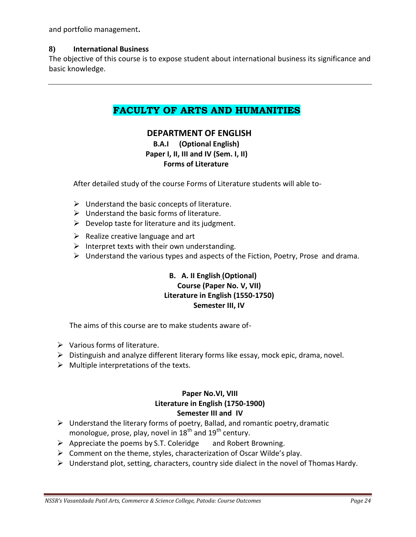and portfolio management**.**

#### **8) International Business**

The objective of this course is to expose student about international business its significance and basic knowledge.

# **FACULTY OF ARTS AND HUMANITIES**

### **DEPARTMENT OF ENGLISH**

### **B.A.I (Optional English) Paper I, II, III and IV (Sem. I, II) Forms of Literature**

After detailed study of the course Forms of Literature students will able to-

- $\triangleright$  Understand the basic concepts of literature.
- $\triangleright$  Understand the basic forms of literature.
- $\triangleright$  Develop taste for literature and its judgment.
- $\triangleright$  Realize creative language and art
- Interpret texts with their own understanding.
- $\triangleright$  Understand the various types and aspects of the Fiction, Poetry, Prose and drama.

### **B. A. II English (Optional) Course (Paper No. V, VII) Literature in English (1550-1750) Semester III, IV**

The aims of this course are to make students aware of-

- $\triangleright$  Various forms of literature.
- $\triangleright$  Distinguish and analyze different literary forms like essay, mock epic, drama, novel.
- $\triangleright$  Multiple interpretations of the texts.

### **Paper No.VI, VIII Literature in English (1750-1900) Semester III and IV**

- $\triangleright$  Understand the literary forms of poetry, Ballad, and romantic poetry, dramatic monologue, prose, play, novel in  $18<sup>th</sup>$  and  $19<sup>th</sup>$  century.
- $\triangleright$  Appreciate the poems by S.T. Coleridge and Robert Browning.
- $\triangleright$  Comment on the theme, styles, characterization of Oscar Wilde's play.
- $\triangleright$  Understand plot, setting, characters, country side dialect in the novel of Thomas Hardy.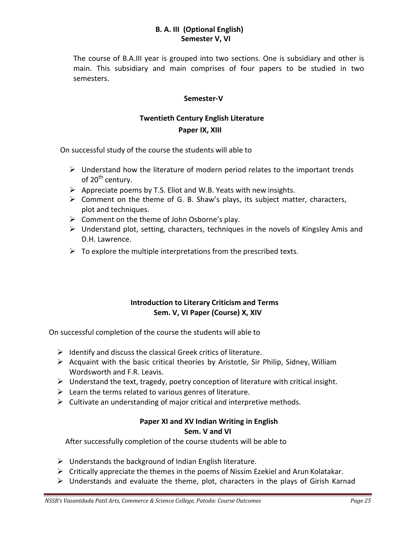### **B. A. III (Optional English) Semester V, VI**

The course of B.A.III year is grouped into two sections. One is subsidiary and other is main. This subsidiary and main comprises of four papers to be studied in two semesters.

#### **Semester-V**

# **Twentieth Century English Literature**

 **Paper IX, XIII**

On successful study of the course the students will able to

- $\triangleright$  Understand how the literature of modern period relates to the important trends of 20<sup>th</sup> century.
- $\triangleright$  Appreciate poems by T.S. Eliot and W.B. Yeats with new insights.
- $\triangleright$  Comment on the theme of G. B. Shaw's plays, its subject matter, characters, plot and techniques.
- $\triangleright$  Comment on the theme of John Osborne's play.
- Understand plot, setting, characters, techniques in the novels of Kingsley Amis and D.H. Lawrence.
- $\triangleright$  To explore the multiple interpretations from the prescribed texts.

### **Introduction to Literary Criticism and Terms Sem. V, VI Paper (Course) X, XIV**

On successful completion of the course the students will able to

- $\triangleright$  Identify and discuss the classical Greek critics of literature.
- $\triangleright$  Acquaint with the basic critical theories by Aristotle, Sir Philip, Sidney, William Wordsworth and F.R. Leavis.
- $\triangleright$  Understand the text, tragedy, poetry conception of literature with critical insight.
- $\triangleright$  Learn the terms related to various genres of literature.
- $\triangleright$  Cultivate an understanding of major critical and interpretive methods.

#### **Paper XI and XV Indian Writing in English Sem. V and VI**

After successfully completion of the course students will be able to

- $\triangleright$  Understands the background of Indian English literature.
- $\triangleright$  Critically appreciate the themes in the poems of Nissim Ezekiel and Arun Kolatakar.
- $\triangleright$  Understands and evaluate the theme, plot, characters in the plays of Girish Karnad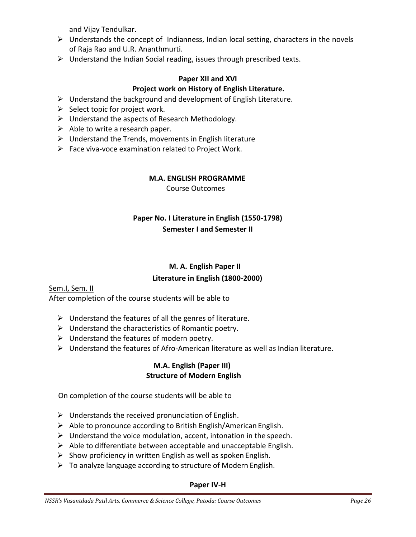and Vijay Tendulkar.

- $\triangleright$  Understands the concept of Indianness, Indian local setting, characters in the novels of Raja Rao and U.R. Ananthmurti.
- $\triangleright$  Understand the Indian Social reading, issues through prescribed texts.

### **Paper XII and XVI Project work on History of English Literature.**

- $\triangleright$  Understand the background and development of English Literature.
- $\triangleright$  Select topic for project work.
- $\triangleright$  Understand the aspects of Research Methodology.
- $\triangleright$  Able to write a research paper.
- $\triangleright$  Understand the Trends, movements in English literature
- $\triangleright$  Face viva-voce examination related to Project Work.

# **M.A. ENGLISH PROGRAMME**

Course Outcomes

# **Paper No. I Literature in English (1550-1798) Semester I and Semester II**

# **M. A. English Paper II**

### **Literature in English (1800-2000)**

### Sem.I, Sem. II

After completion of the course students will be able to

- $\triangleright$  Understand the features of all the genres of literature.
- $\triangleright$  Understand the characteristics of Romantic poetry.
- $\triangleright$  Understand the features of modern poetry.
- $\triangleright$  Understand the features of Afro-American literature as well as Indian literature.

### **M.A. English (Paper III) Structure of Modern English**

On completion of the course students will be able to

- $\triangleright$  Understands the received pronunciation of English.
- $\triangleright$  Able to pronounce according to British English/American English.
- $\triangleright$  Understand the voice modulation, accent, intonation in the speech.
- $\triangleright$  Able to differentiate between acceptable and unacceptable English.
- $\triangleright$  Show proficiency in written English as well as spoken English.
- $\triangleright$  To analyze language according to structure of Modern English.

### **Paper IV-H**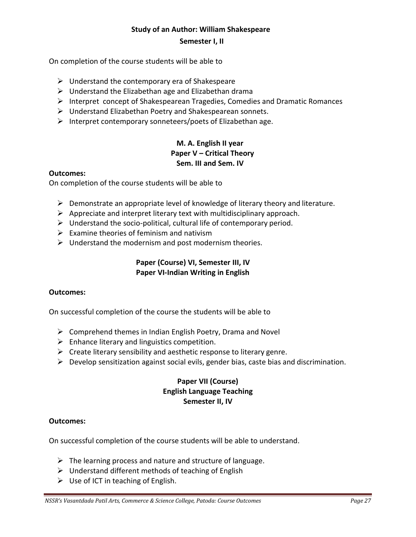#### **Study of an Author: William Shakespeare**

#### **Semester I, II**

On completion of the course students will be able to

- $\triangleright$  Understand the contemporary era of Shakespeare
- $\triangleright$  Understand the Elizabethan age and Elizabethan drama
- $\triangleright$  Interpret concept of Shakespearean Tragedies, Comedies and Dramatic Romances
- $\triangleright$  Understand Elizabethan Poetry and Shakespearean sonnets.
- $\triangleright$  Interpret contemporary sonneteers/poets of Elizabethan age.

### **M. A. English II year Paper V – Critical Theory Sem. III and Sem. IV**

#### **Outcomes:**

On completion of the course students will be able to

- $\triangleright$  Demonstrate an appropriate level of knowledge of literary theory and literature.
- $\triangleright$  Appreciate and interpret literary text with multidisciplinary approach.
- $\triangleright$  Understand the socio-political, cultural life of contemporary period.
- $\triangleright$  Examine theories of feminism and nativism
- $\triangleright$  Understand the modernism and post modernism theories.

#### **Paper (Course) VI, Semester III, IV Paper VI-Indian Writing in English**

#### **Outcomes:**

On successful completion of the course the students will be able to

- $\triangleright$  Comprehend themes in Indian English Poetry, Drama and Novel
- $\triangleright$  Enhance literary and linguistics competition.
- $\triangleright$  Create literary sensibility and aesthetic response to literary genre.
- $\triangleright$  Develop sensitization against social evils, gender bias, caste bias and discrimination.

### **Paper VII (Course) English Language Teaching Semester II, IV**

#### **Outcomes:**

On successful completion of the course students will be able to understand.

- $\triangleright$  The learning process and nature and structure of language.
- $\triangleright$  Understand different methods of teaching of English
- $\triangleright$  Use of ICT in teaching of English.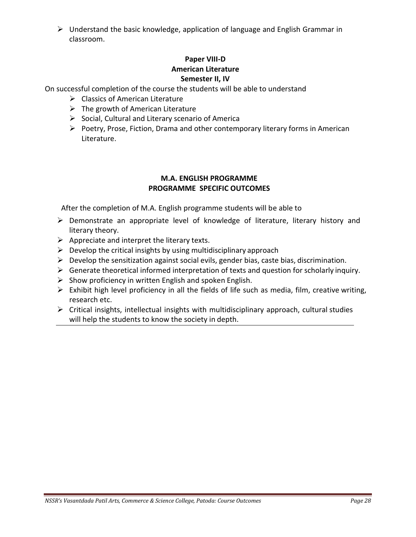$\triangleright$  Understand the basic knowledge, application of language and English Grammar in classroom.

### **Paper VIII-D American Literature Semester II, IV**

On successful completion of the course the students will be able to understand

- $\triangleright$  Classics of American Literature
- $\triangleright$  The growth of American Literature
- $\triangleright$  Social, Cultural and Literary scenario of America
- $\triangleright$  Poetry, Prose, Fiction, Drama and other contemporary literary forms in American Literature.

### **M.A. ENGLISH PROGRAMME PROGRAMME SPECIFIC OUTCOMES**

After the completion of M.A. English programme students will be able to

- $\triangleright$  Demonstrate an appropriate level of knowledge of literature, literary history and literary theory.
- $\triangleright$  Appreciate and interpret the literary texts.
- $\triangleright$  Develop the critical insights by using multidisciplinary approach
- $\triangleright$  Develop the sensitization against social evils, gender bias, caste bias, discrimination.
- $\triangleright$  Generate theoretical informed interpretation of texts and question for scholarly inquiry.
- $\triangleright$  Show proficiency in written English and spoken English.
- $\triangleright$  Exhibit high level proficiency in all the fields of life such as media, film, creative writing, research etc.
- $\triangleright$  Critical insights, intellectual insights with multidisciplinary approach, cultural studies will help the students to know the society in depth.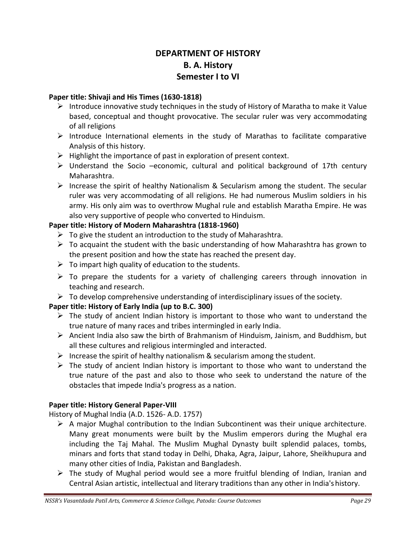# **DEPARTMENT OF HISTORY B. A. History Semester I to VI**

### **Paper title: Shivaji and His Times (1630-1818)**

- Introduce innovative study techniques in the study of History of Maratha to make it Value based, conceptual and thought provocative. The secular ruler was very accommodating of all religions
- $\triangleright$  Introduce International elements in the study of Marathas to facilitate comparative Analysis of this history.
- $\triangleright$  Highlight the importance of past in exploration of present context.
- $\triangleright$  Understand the Socio –economic, cultural and political background of 17th century Maharashtra.
- Increase the spirit of healthy Nationalism & Secularism among the student. The secular ruler was very accommodating of all religions. He had numerous Muslim soldiers in his army. His only aim was to overthrow Mughal rule and establish Maratha Empire. He was also very supportive of people who converted to Hinduism.

### **Paper title: History of Modern Maharashtra (1818-1960)**

- $\triangleright$  To give the student an introduction to the study of Maharashtra.
- $\triangleright$  To acquaint the student with the basic understanding of how Maharashtra has grown to the present position and how the state has reached the present day.
- $\triangleright$  To impart high quality of education to the students.
- $\triangleright$  To prepare the students for a variety of challenging careers through innovation in teaching and research.
- $\triangleright$  To develop comprehensive understanding of interdisciplinary issues of the society.

### **Paper title: History of Early India (up to B.C. 300)**

- $\triangleright$  The study of ancient Indian history is important to those who want to understand the true nature of many races and tribes intermingled in early India.
- $\triangleright$  Ancient India also saw the birth of Brahmanism of Hinduism, Jainism, and Buddhism, but all these cultures and religious intermingled and interacted.
- Increase the spirit of healthy nationalism & secularism among the student.
- $\triangleright$  The study of ancient Indian history is important to those who want to understand the true nature of the past and also to those who seek to understand the nature of the obstacles that impede India's progress as a nation.

### **Paper title: History General Paper-VIII**

History of Mughal India (A.D. 1526- A.D. 1757)

- $\triangleright$  A major Mughal contribution to the Indian Subcontinent was their unique architecture. Many great monuments were built by the Muslim emperors during the Mughal era including the Taj Mahal. The Muslim Mughal Dynasty built splendid palaces, tombs, minars and forts that stand today in Delhi, Dhaka, Agra, Jaipur, Lahore, Sheikhupura and many other cities of India, Pakistan and Bangladesh.
- The study of Mughal period would see a more fruitful blending of Indian, Iranian and Central Asian artistic, intellectual and literary traditions than any other in India'shistory.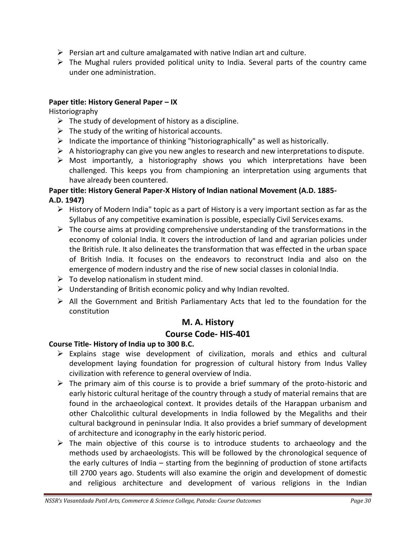- $\triangleright$  Persian art and culture amalgamated with native Indian art and culture.
- $\triangleright$  The Mughal rulers provided political unity to India. Several parts of the country came under one administration.

### **Paper title: History General Paper – IX**

Historiography

- $\triangleright$  The study of development of history as a discipline.
- $\triangleright$  The study of the writing of historical accounts.
- $\triangleright$  Indicate the importance of thinking "historiographically" as well as historically.
- $\triangleright$  A historiography can give you new angles to research and new interpretations to dispute.
- $\triangleright$  Most importantly, a historiography shows you which interpretations have been challenged. This keeps you from championing an interpretation using arguments that have already been countered.

### **Paper title: History General Paper-X History of Indian national Movement (A.D. 1885- A.D. 1947)**

- $\triangleright$  History of Modern India" topic as a part of History is a very important section as far as the Syllabus of any competitive examination is possible, especially Civil Services exams.
- $\triangleright$  The course aims at providing comprehensive understanding of the transformations in the economy of colonial India. It covers the introduction of land and agrarian policies under the British rule. It also delineates the transformation that was effected in the urban space of British India. It focuses on the endeavors to reconstruct India and also on the emergence of modern industry and the rise of new social classes in colonial India.
- $\triangleright$  To develop nationalism in student mind.
- $\triangleright$  Understanding of British economic policy and why Indian revolted.
- $\triangleright$  All the Government and British Parliamentary Acts that led to the foundation for the constitution

### **M. A. History Course Code- HIS-401**

# **Course Title- History of India up to 300 B.C.**

- $\triangleright$  Explains stage wise development of civilization, morals and ethics and cultural development laying foundation for progression of cultural history from Indus Valley civilization with reference to general overview of India.
- $\triangleright$  The primary aim of this course is to provide a brief summary of the proto-historic and early historic cultural heritage of the country through a study of material remains that are found in the archaeological context. It provides details of the Harappan urbanism and other Chalcolithic cultural developments in India followed by the Megaliths and their cultural background in peninsular India. It also provides a brief summary of development of architecture and iconography in the early historic period.
- $\triangleright$  The main objective of this course is to introduce students to archaeology and the methods used by archaeologists. This will be followed by the chronological sequence of the early cultures of India – starting from the beginning of production of stone artifacts till 2700 years ago. Students will also examine the origin and development of domestic and religious architecture and development of various religions in the Indian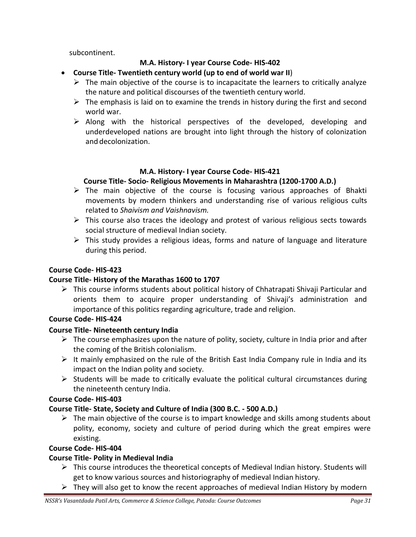subcontinent.

### **M.A. History- I year Course Code- HIS-402**

- **Course Title- Twentieth century world (up to end of world war II**)
	- $\triangleright$  The main objective of the course is to incapacitate the learners to critically analyze the nature and political discourses of the twentieth century world.
	- $\triangleright$  The emphasis is laid on to examine the trends in history during the first and second world war.
	- $\triangleright$  Along with the historical perspectives of the developed, developing and underdeveloped nations are brought into light through the history of colonization and decolonization.

### **M.A. History- I year Course Code- HIS-421**

### **Course Title- Socio- Religious Movements in Maharashtra (1200-1700 A.D.)**

- $\triangleright$  The main objective of the course is focusing various approaches of Bhakti movements by modern thinkers and understanding rise of various religious cults related to *Shaivism and Vaishnavism.*
- $\triangleright$  This course also traces the ideology and protest of various religious sects towards social structure of medieval Indian society.
- $\triangleright$  This study provides a religious ideas, forms and nature of language and literature during this period.

### **Course Code- HIS-423**

### **Course Title- History of the Marathas 1600 to 1707**

 $\triangleright$  This course informs students about political history of Chhatrapati Shivaji Particular and orients them to acquire proper understanding of Shivaji's administration and importance of this politics regarding agriculture, trade and religion.

### **Course Code- HIS-424**

### **Course Title- Nineteenth century India**

- $\triangleright$  The course emphasizes upon the nature of polity, society, culture in India prior and after the coming of the British colonialism.
- $\triangleright$  It mainly emphasized on the rule of the British East India Company rule in India and its impact on the Indian polity and society.
- $\triangleright$  Students will be made to critically evaluate the political cultural circumstances during the nineteenth century India.

### **Course Code- HIS-403**

### **Course Title- State, Society and Culture of India (300 B.C. - 500 A.D.)**

 $\triangleright$  The main objective of the course is to impart knowledge and skills among students about polity, economy, society and culture of period during which the great empires were existing.

### **Course Code- HIS-404**

### **Course Title- Polity in Medieval India**

- $\triangleright$  This course introduces the theoretical concepts of Medieval Indian history. Students will get to know various sources and historiography of medieval Indian history.
- $\triangleright$  They will also get to know the recent approaches of medieval Indian History by modern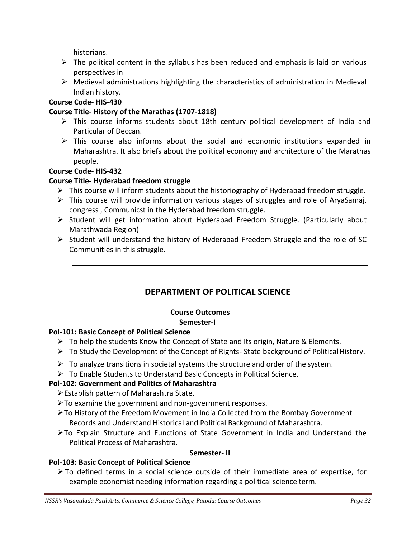historians.

- $\triangleright$  The political content in the syllabus has been reduced and emphasis is laid on various perspectives in
- $\triangleright$  Medieval administrations highlighting the characteristics of administration in Medieval Indian history.

### **Course Code- HIS-430**

### **Course Title- History of the Marathas (1707-1818)**

- $\triangleright$  This course informs students about 18th century political development of India and Particular of Deccan.
- $\triangleright$  This course also informs about the social and economic institutions expanded in Maharashtra. It also briefs about the political economy and architecture of the Marathas people.

### **Course Code- HIS-432**

### **Course Title- Hyderabad freedom struggle**

- $\triangleright$  This course will inform students about the historiography of Hyderabad freedom struggle.
- $\triangleright$  This course will provide information various stages of struggles and role of AryaSamaj, congress , Communicst in the Hyderabad freedom struggle.
- $\triangleright$  Student will get information about Hyderabad Freedom Struggle. (Particularly about Marathwada Region)
- $\triangleright$  Student will understand the history of Hyderabad Freedom Struggle and the role of SC Communities in this struggle.

# **DEPARTMENT OF POLITICAL SCIENCE**

# **Course Outcomes**

### **Semester-I**

### **Pol-101: Basic Concept of Political Science**

- $\triangleright$  To help the students Know the Concept of State and Its origin, Nature & Elements.
- $\triangleright$  To Study the Development of the Concept of Rights-State background of Political History.
- $\triangleright$  To analyze transitions in societal systems the structure and order of the system.
- To Enable Students to Understand Basic Concepts in Political Science.

### **Pol-102: Government and Politics of Maharashtra**

- Establish pattern of Maharashtra State.
- To examine the government and non-government responses.
- To History of the Freedom Movement in India Collected from the Bombay Government Records and Understand Historical and Political Background of Maharashtra.
- To Explain Structure and Functions of State Government in India and Understand the Political Process of Maharashtra.

#### **Semester- II**

### **Pol-103: Basic Concept of Political Science**

 $\triangleright$  To defined terms in a social science outside of their immediate area of expertise, for example economist needing information regarding a political science term.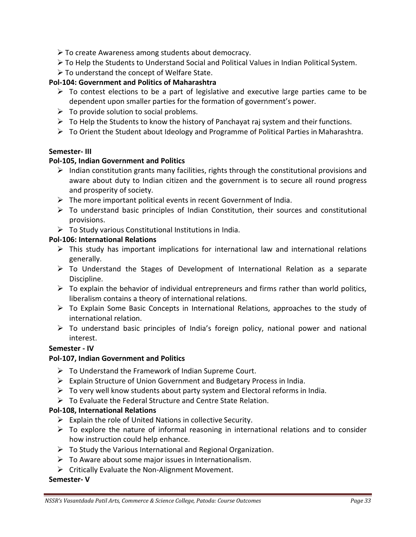- To create Awareness among students about democracy.
- To Help the Students to Understand Social and Political Values in Indian Political System.
- To understand the concept of Welfare State.

### **Pol-104: Government and Politics of Maharashtra**

- $\triangleright$  To contest elections to be a part of legislative and executive large parties came to be dependent upon smaller parties for the formation of government's power.
- $\triangleright$  To provide solution to social problems.
- $\triangleright$  To Help the Students to know the history of Panchayat raj system and their functions.
- $\triangleright$  To Orient the Student about Ideology and Programme of Political Parties in Maharashtra.

### **Semester- III**

### **Pol-105, Indian Government and Politics**

- $\triangleright$  Indian constitution grants many facilities, rights through the constitutional provisions and aware about duty to Indian citizen and the government is to secure all round progress and prosperity of society.
- $\triangleright$  The more important political events in recent Government of India.
- $\triangleright$  To understand basic principles of Indian Constitution, their sources and constitutional provisions.
- $\triangleright$  To Study various Constitutional Institutions in India.

### **Pol-106: International Relations**

- $\triangleright$  This study has important implications for international law and international relations generally.
- $\triangleright$  To Understand the Stages of Development of International Relation as a separate Discipline.
- $\triangleright$  To explain the behavior of individual entrepreneurs and firms rather than world politics, liberalism contains a theory of international relations.
- $\triangleright$  To Explain Some Basic Concepts in International Relations, approaches to the study of international relation.
- $\triangleright$  To understand basic principles of India's foreign policy, national power and national interest.

### **Semester - IV**

### **Pol-107, Indian Government and Politics**

- $\triangleright$  To Understand the Framework of Indian Supreme Court.
- Explain Structure of Union Government and Budgetary Process in India.
- $\triangleright$  To very well know students about party system and Electoral reforms in India.
- $\triangleright$  To Evaluate the Federal Structure and Centre State Relation.

#### **Pol-108, International Relations**

- $\triangleright$  Explain the role of United Nations in collective Security.
- $\triangleright$  To explore the nature of informal reasoning in international relations and to consider how instruction could help enhance.
- $\triangleright$  To Study the Various International and Regional Organization.
- $\triangleright$  To Aware about some major issues in Internationalism.
- $\triangleright$  Critically Evaluate the Non-Alignment Movement.

#### **Semester- V**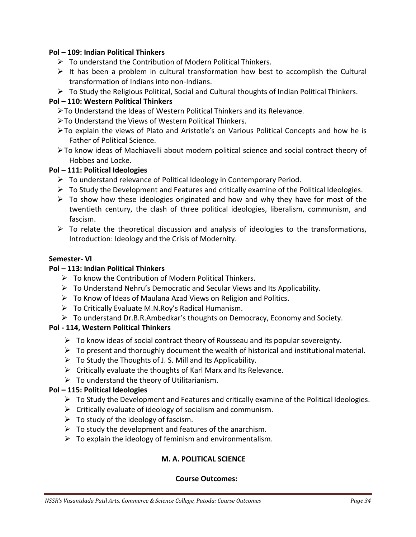### **Pol – 109: Indian Political Thinkers**

- $\triangleright$  To understand the Contribution of Modern Political Thinkers.
- $\triangleright$  It has been a problem in cultural transformation how best to accomplish the Cultural transformation of Indians into non-Indians.
- $\triangleright$  To Study the Religious Political, Social and Cultural thoughts of Indian Political Thinkers.

### **Pol – 110: Western Political Thinkers**

- To Understand the Ideas of Western Political Thinkers and its Relevance.
- To Understand the Views of Western Political Thinkers.
- To explain the views of Plato and Aristotle's on Various Political Concepts and how he is Father of Political Science.
- To know ideas of Machiavelli about modern political science and social contract theory of Hobbes and Locke.

### **Pol – 111: Political Ideologies**

- $\triangleright$  To understand relevance of Political Ideology in Contemporary Period.
- $\triangleright$  To Study the Development and Features and critically examine of the Political Ideologies.
- $\triangleright$  To show how these ideologies originated and how and why they have for most of the twentieth century, the clash of three political ideologies, liberalism, communism, and fascism.
- $\triangleright$  To relate the theoretical discussion and analysis of ideologies to the transformations, Introduction: Ideology and the Crisis of Modernity.

### **Semester- VI**

### **Pol – 113: Indian Political Thinkers**

- $\triangleright$  To know the Contribution of Modern Political Thinkers.
- $\triangleright$  To Understand Nehru's Democratic and Secular Views and Its Applicability.
- $\triangleright$  To Know of Ideas of Maulana Azad Views on Religion and Politics.
- $\triangleright$  To Critically Evaluate M.N.Roy's Radical Humanism.
- $\triangleright$  To understand Dr.B.R.Ambedkar's thoughts on Democracy, Economy and Society.

### **Pol - 114, Western Political Thinkers**

- $\triangleright$  To know ideas of social contract theory of Rousseau and its popular sovereignty.
- $\triangleright$  To present and thoroughly document the wealth of historical and institutional material.
- $\triangleright$  To Study the Thoughts of J. S. Mill and Its Applicability.
- $\triangleright$  Critically evaluate the thoughts of Karl Marx and Its Relevance.
- $\triangleright$  To understand the theory of Utilitarianism.

### **Pol – 115: Political Ideologies**

- $\triangleright$  To Study the Development and Features and critically examine of the Political Ideologies.
- $\triangleright$  Critically evaluate of ideology of socialism and communism.
- $\triangleright$  To study of the ideology of fascism.
- $\triangleright$  To study the development and features of the anarchism.
- $\triangleright$  To explain the ideology of feminism and environmentalism.

### **M. A. POLITICAL SCIENCE**

### **Course Outcomes:**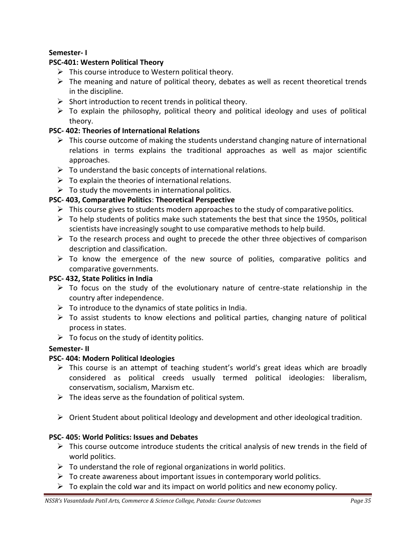### **Semester- I**

### **PSC-401: Western Political Theory**

- $\triangleright$  This course introduce to Western political theory.
- $\triangleright$  The meaning and nature of political theory, debates as well as recent theoretical trends in the discipline.
- $\triangleright$  Short introduction to recent trends in political theory.
- $\triangleright$  To explain the philosophy, political theory and political ideology and uses of political theory.

### **PSC- 402: Theories of International Relations**

- $\triangleright$  This course outcome of making the students understand changing nature of international relations in terms explains the traditional approaches as well as major scientific approaches.
- $\triangleright$  To understand the basic concepts of international relations.
- $\triangleright$  To explain the theories of international relations.
- $\triangleright$  To study the movements in international politics.

### **PSC- 403, Comparative Politics**: **Theoretical Perspective**

- $\triangleright$  This course gives to students modern approaches to the study of comparative politics.
- $\triangleright$  To help students of politics make such statements the best that since the 1950s, political scientists have increasingly sought to use comparative methods to help build.
- $\triangleright$  To the research process and ought to precede the other three objectives of comparison description and classification.
- $\triangleright$  To know the emergence of the new source of polities, comparative politics and comparative governments.

### **PSC- 432, State Politics in India**

- $\triangleright$  To focus on the study of the evolutionary nature of centre-state relationship in the country after independence.
- $\triangleright$  To introduce to the dynamics of state politics in India.
- $\triangleright$  To assist students to know elections and political parties, changing nature of political process in states.
- $\triangleright$  To focus on the study of identity politics.

### **Semester- II**

### **PSC- 404: Modern Political Ideologies**

- $\triangleright$  This course is an attempt of teaching student's world's great ideas which are broadly considered as political creeds usually termed political ideologies: liberalism, conservatism, socialism, Marxism etc.
- $\triangleright$  The ideas serve as the foundation of political system.
- $\triangleright$  Orient Student about political Ideology and development and other ideological tradition.

### **PSC- 405: World Politics: Issues and Debates**

- $\triangleright$  This course outcome introduce students the critical analysis of new trends in the field of world politics.
- $\triangleright$  To understand the role of regional organizations in world politics.
- $\triangleright$  To create awareness about important issues in contemporary world politics.
- $\triangleright$  To explain the cold war and its impact on world politics and new economy policy.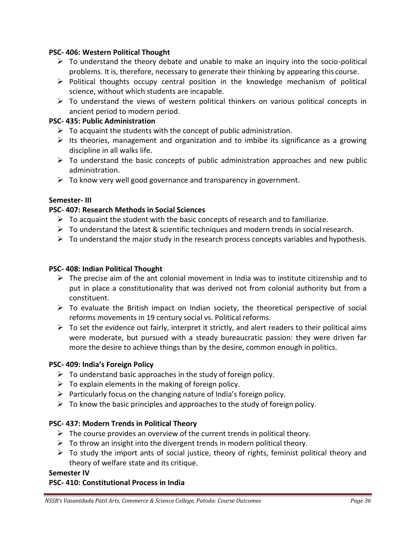### **PSC- 406: Western Political Thought**

- $\triangleright$  To understand the theory debate and unable to make an inquiry into the socio-political problems. It is, therefore, necessary to generate their thinking by appearing this course.
- $\triangleright$  Political thoughts occupy central position in the knowledge mechanism of political science, without which students are incapable.
- $\triangleright$  To understand the views of western political thinkers on various political concepts in ancient period to modern period.

### **PSC- 435: Public Administration**

- $\triangleright$  To acquaint the students with the concept of public administration.
- $\triangleright$  Its theories, management and organization and to imbibe its significance as a growing discipline in all walks life.
- $\triangleright$  To understand the basic concepts of public administration approaches and new public administration.
- $\triangleright$  To know very well good governance and transparency in government.

### **Semester- III**

### **PSC- 407: Research Methods in Social Sciences**

- $\triangleright$  To acquaint the student with the basic concepts of research and to familiarize.
- $\triangleright$  To understand the latest & scientific techniques and modern trends in social research.
- $\triangleright$  To understand the major study in the research process concepts variables and hypothesis.

#### **PSC- 408: Indian Political Thought**

- $\triangleright$  The precise aim of the ant colonial movement in India was to institute citizenship and to put in place a constitutionality that was derived not from colonial authority but from a constituent.
- $\triangleright$  To evaluate the British impact on Indian society, the theoretical perspective of social reforms movements in 19 century social vs. Political reforms.
- $\triangleright$  To set the evidence out fairly, interpret it strictly, and alert readers to their political aims were moderate, but pursued with a steady bureaucratic passion: they were driven far more the desire to achieve things than by the desire, common enough in politics.

#### **PSC- 409: India's Foreign Policy**

- $\triangleright$  To understand basic approaches in the study of foreign policy.
- $\triangleright$  To explain elements in the making of foreign policy.
- $\triangleright$  Particularly focus on the changing nature of India's foreign policy.
- $\triangleright$  To know the basic principles and approaches to the study of foreign policy.

#### **PSC- 437: Modern Trends in Political Theory**

- $\triangleright$  The course provides an overview of the current trends in political theory.
- $\triangleright$  To throw an insight into the divergent trends in modern political theory.
- $\triangleright$  To study the import ants of social justice, theory of rights, feminist political theory and theory of welfare state and its critique.

#### **Semester IV**

#### **PSC- 410: Constitutional Process in India**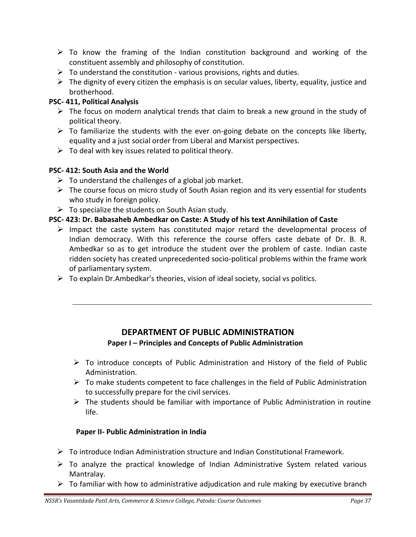- $\triangleright$  To know the framing of the Indian constitution background and working of the constituent assembly and philosophy of constitution.
- $\triangleright$  To understand the constitution various provisions, rights and duties.
- $\triangleright$  The dignity of every citizen the emphasis is on secular values, liberty, equality, justice and brotherhood.

### **PSC- 411, Political Analysis**

- $\triangleright$  The focus on modern analytical trends that claim to break a new ground in the study of political theory.
- $\triangleright$  To familiarize the students with the ever on-going debate on the concepts like liberty, equality and a just social order from Liberal and Marxist perspectives.
- $\triangleright$  To deal with key issues related to political theory.

### **PSC- 412: South Asia and the World**

- $\triangleright$  To understand the challenges of a global job market.
- $\triangleright$  The course focus on micro study of South Asian region and its very essential for students who study in foreign policy.
- $\triangleright$  To specialize the students on South Asian study.

### **PSC- 423: Dr. Babasaheb Ambedkar on Caste: A Study of his text Annihilation of Caste**

- $\triangleright$  Impact the caste system has constituted major retard the developmental process of Indian democracy. With this reference the course offers caste debate of Dr. B. R. Ambedkar so as to get introduce the student over the problem of caste. Indian caste ridden society has created unprecedented socio-political problems within the frame work of parliamentary system.
- $\triangleright$  To explain Dr.Ambedkar's theories, vision of ideal society, social vs politics.

### **DEPARTMENT OF PUBLIC ADMINISTRATION**

### **Paper I – Principles and Concepts of Public Administration**

- $\triangleright$  To introduce concepts of Public Administration and History of the field of Public Administration.
- $\triangleright$  To make students competent to face challenges in the field of Public Administration to successfully prepare for the civil services.
- $\triangleright$  The students should be familiar with importance of Public Administration in routine life.

#### **Paper II- Public Administration in India**

- $\triangleright$  To introduce Indian Administration structure and Indian Constitutional Framework.
- $\triangleright$  To analyze the practical knowledge of Indian Administrative System related various Mantralay.
- $\triangleright$  To familiar with how to administrative adjudication and rule making by executive branch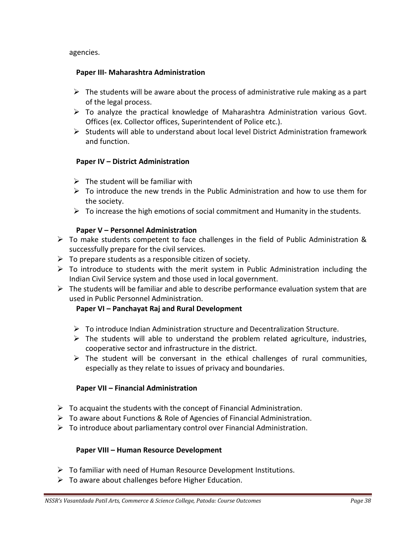agencies.

### **Paper III- Maharashtra Administration**

- $\triangleright$  The students will be aware about the process of administrative rule making as a part of the legal process.
- $\triangleright$  To analyze the practical knowledge of Maharashtra Administration various Govt. Offices (ex. Collector offices, Superintendent of Police etc.).
- $\triangleright$  Students will able to understand about local level District Administration framework and function.

### **Paper IV – District Administration**

- $\triangleright$  The student will be familiar with
- $\triangleright$  To introduce the new trends in the Public Administration and how to use them for the society.
- $\triangleright$  To increase the high emotions of social commitment and Humanity in the students.

### **Paper V – Personnel Administration**

- $\triangleright$  To make students competent to face challenges in the field of Public Administration & successfully prepare for the civil services.
- $\triangleright$  To prepare students as a responsible citizen of society.
- $\triangleright$  To introduce to students with the merit system in Public Administration including the Indian Civil Service system and those used in local government.
- $\triangleright$  The students will be familiar and able to describe performance evaluation system that are used in Public Personnel Administration.

### **Paper VI – Panchayat Raj and Rural Development**

- $\triangleright$  To introduce Indian Administration structure and Decentralization Structure.
- $\triangleright$  The students will able to understand the problem related agriculture, industries, cooperative sector and infrastructure in the district.
- $\triangleright$  The student will be conversant in the ethical challenges of rural communities, especially as they relate to issues of privacy and boundaries.

### **Paper VII – Financial Administration**

- $\triangleright$  To acquaint the students with the concept of Financial Administration.
- $\triangleright$  To aware about Functions & Role of Agencies of Financial Administration.
- $\triangleright$  To introduce about parliamentary control over Financial Administration.

### **Paper VIII – Human Resource Development**

- $\triangleright$  To familiar with need of Human Resource Development Institutions.
- $\triangleright$  To aware about challenges before Higher Education.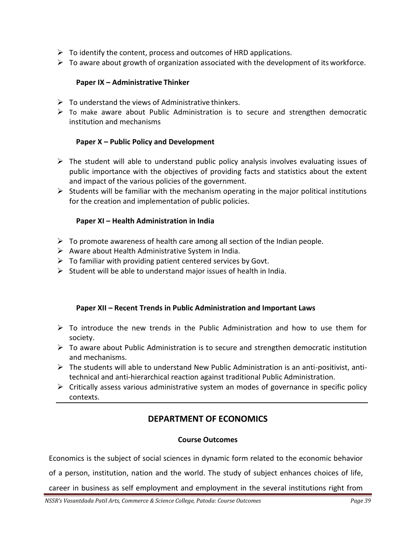- $\triangleright$  To identify the content, process and outcomes of HRD applications.
- $\triangleright$  To aware about growth of organization associated with the development of its workforce.

#### **Paper IX – Administrative Thinker**

- $\triangleright$  To understand the views of Administrative thinkers.
- $\triangleright$  To make aware about Public Administration is to secure and strengthen democratic institution and mechanisms

### **Paper X – Public Policy and Development**

- $\triangleright$  The student will able to understand public policy analysis involves evaluating issues of public importance with the objectives of providing facts and statistics about the extent and impact of the various policies of the government.
- $\triangleright$  Students will be familiar with the mechanism operating in the major political institutions for the creation and implementation of public policies.

### **Paper XI – Health Administration in India**

- $\triangleright$  To promote awareness of health care among all section of the Indian people.
- $\triangleright$  Aware about Health Administrative System in India.
- $\triangleright$  To familiar with providing patient centered services by Govt.
- $\triangleright$  Student will be able to understand major issues of health in India.

#### **Paper XII – Recent Trends in Public Administration and Important Laws**

- $\triangleright$  To introduce the new trends in the Public Administration and how to use them for society.
- $\triangleright$  To aware about Public Administration is to secure and strengthen democratic institution and mechanisms.
- $\triangleright$  The students will able to understand New Public Administration is an anti-positivist, antitechnical and anti-hierarchical reaction against traditional Public Administration.
- $\triangleright$  Critically assess various administrative system an modes of governance in specific policy contexts.

### **DEPARTMENT OF ECONOMICS**

#### **Course Outcomes**

Economics is the subject of social sciences in dynamic form related to the economic behavior

of a person, institution, nation and the world. The study of subject enhances choices of life,

career in business as self employment and employment in the several institutions right from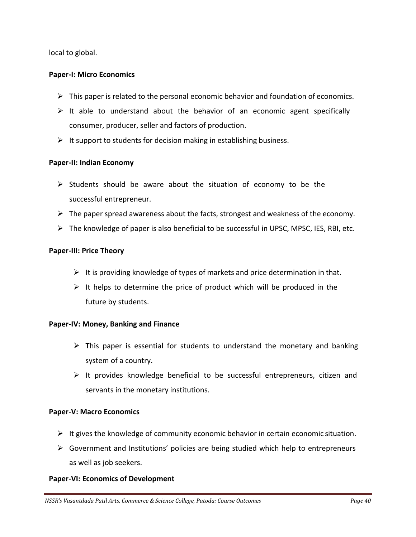local to global.

### **Paper-I: Micro Economics**

- $\triangleright$  This paper is related to the personal economic behavior and foundation of economics.
- $\triangleright$  It able to understand about the behavior of an economic agent specifically consumer, producer, seller and factors of production.
- $\triangleright$  It support to students for decision making in establishing business.

### **Paper-II: Indian Economy**

- $\triangleright$  Students should be aware about the situation of economy to be the successful entrepreneur.
- $\triangleright$  The paper spread awareness about the facts, strongest and weakness of the economy.
- $\triangleright$  The knowledge of paper is also beneficial to be successful in UPSC, MPSC, IES, RBI, etc.

#### **Paper-III: Price Theory**

- It is providing knowledge of types of markets and price determination in that.
- $\triangleright$  It helps to determine the price of product which will be produced in the future by students.

#### **Paper-IV: Money, Banking and Finance**

- $\triangleright$  This paper is essential for students to understand the monetary and banking system of a country.
- $\triangleright$  It provides knowledge beneficial to be successful entrepreneurs, citizen and servants in the monetary institutions.

#### **Paper-V: Macro Economics**

- $\triangleright$  It gives the knowledge of community economic behavior in certain economic situation.
- $\triangleright$  Government and Institutions' policies are being studied which help to entrepreneurs as well as job seekers.

### **Paper-VI: Economics of Development**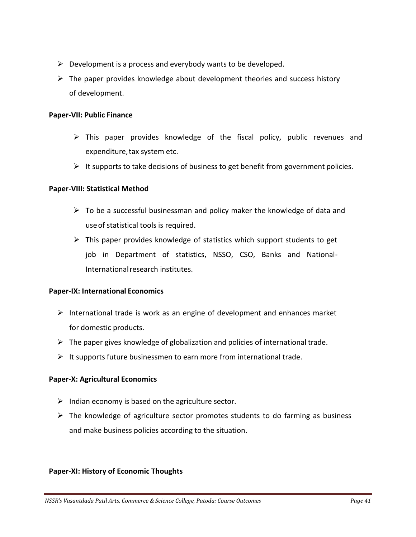- $\triangleright$  Development is a process and everybody wants to be developed.
- $\triangleright$  The paper provides knowledge about development theories and success history of development.

### **Paper-VII: Public Finance**

- $\triangleright$  This paper provides knowledge of the fiscal policy, public revenues and expenditure, tax system etc.
- $\triangleright$  It supports to take decisions of business to get benefit from government policies.

### **Paper-VIII: Statistical Method**

- $\triangleright$  To be a successful businessman and policy maker the knowledge of data and useof statistical tools is required.
- $\triangleright$  This paper provides knowledge of statistics which support students to get job in Department of statistics, NSSO, CSO, Banks and National-Internationalresearch institutes.

### **Paper-IX: International Economics**

- $\triangleright$  International trade is work as an engine of development and enhances market for domestic products.
- $\triangleright$  The paper gives knowledge of globalization and policies of international trade.
- $\triangleright$  It supports future businessmen to earn more from international trade.

### **Paper-X: Agricultural Economics**

- $\triangleright$  Indian economy is based on the agriculture sector.
- $\triangleright$  The knowledge of agriculture sector promotes students to do farming as business and make business policies according to the situation.

### **Paper-XI: History of Economic Thoughts**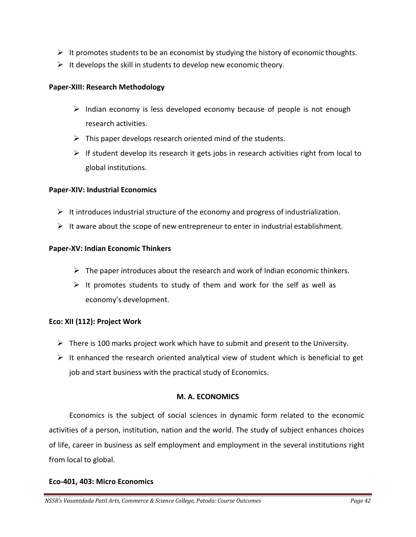- $\triangleright$  It promotes students to be an economist by studying the history of economic thoughts.
- $\triangleright$  It develops the skill in students to develop new economic theory.

### **Paper-XIII: Research Methodology**

- $\triangleright$  Indian economy is less developed economy because of people is not enough research activities.
- $\triangleright$  This paper develops research oriented mind of the students.
- $\triangleright$  If student develop its research it gets jobs in research activities right from local to global institutions.

### **Paper-XIV: Industrial Economics**

- $\triangleright$  It introduces industrial structure of the economy and progress of industrialization.
- $\triangleright$  It aware about the scope of new entrepreneur to enter in industrial establishment.

### **Paper-XV: Indian Economic Thinkers**

- $\triangleright$  The paper introduces about the research and work of Indian economic thinkers.
- $\triangleright$  It promotes students to study of them and work for the self as well as economy's development.

### **Eco: XII (112): Project Work**

- $\triangleright$  There is 100 marks project work which have to submit and present to the University.
- $\triangleright$  It enhanced the research oriented analytical view of student which is beneficial to get job and start business with the practical study of Economics.

### **M. A. ECONOMICS**

Economics is the subject of social sciences in dynamic form related to the economic activities of a person, institution, nation and the world. The study of subject enhances choices of life, career in business as self employment and employment in the several institutions right from local to global.

#### **Eco-401, 403: Micro Economics**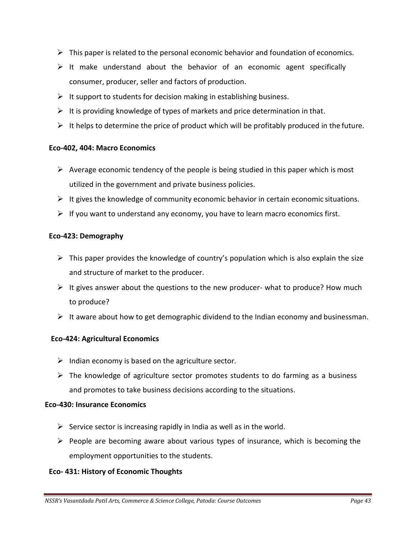- $\triangleright$  This paper is related to the personal economic behavior and foundation of economics.
- $\triangleright$  It make understand about the behavior of an economic agent specifically consumer, producer, seller and factors of production.
- $\triangleright$  It support to students for decision making in establishing business.
- $\triangleright$  It is providing knowledge of types of markets and price determination in that.
- $\triangleright$  It helps to determine the price of product which will be profitably produced in the future.

### **Eco-402, 404: Macro Economics**

- $\triangleright$  Average economic tendency of the people is being studied in this paper which is most utilized in the government and private business policies.
- $\triangleright$  It gives the knowledge of community economic behavior in certain economic situations.
- $\triangleright$  If you want to understand any economy, you have to learn macro economics first.

### **Eco-423: Demography**

- $\triangleright$  This paper provides the knowledge of country's population which is also explain the size and structure of market to the producer.
- $\triangleright$  It gives answer about the questions to the new producer- what to produce? How much to produce?
- $\triangleright$  It aware about how to get demographic dividend to the Indian economy and businessman.

### **Eco-424: Agricultural Economics**

- $\triangleright$  Indian economy is based on the agriculture sector.
- $\triangleright$  The knowledge of agriculture sector promotes students to do farming as a business and promotes to take business decisions according to the situations.

#### **Eco-430: Insurance Economics**

- $\triangleright$  Service sector is increasing rapidly in India as well as in the world.
- $\triangleright$  People are becoming aware about various types of insurance, which is becoming the employment opportunities to the students.

### **Eco- 431: History of Economic Thoughts**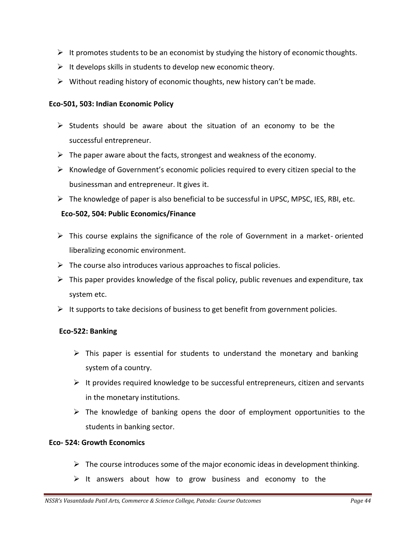- $\triangleright$  It promotes students to be an economist by studying the history of economic thoughts.
- $\triangleright$  It develops skills in students to develop new economic theory.
- $\triangleright$  Without reading history of economic thoughts, new history can't be made.

### **Eco-501, 503: Indian Economic Policy**

- $\triangleright$  Students should be aware about the situation of an economy to be the successful entrepreneur.
- $\triangleright$  The paper aware about the facts, strongest and weakness of the economy.
- $\triangleright$  Knowledge of Government's economic policies required to every citizen special to the businessman and entrepreneur. It gives it.
- $\triangleright$  The knowledge of paper is also beneficial to be successful in UPSC, MPSC, IES, RBI, etc.

### **Eco-502, 504: Public Economics/Finance**

- $\triangleright$  This course explains the significance of the role of Government in a market-oriented liberalizing economic environment.
- $\triangleright$  The course also introduces various approaches to fiscal policies.
- $\triangleright$  This paper provides knowledge of the fiscal policy, public revenues and expenditure, tax system etc.
- $\triangleright$  It supports to take decisions of business to get benefit from government policies.

### **Eco-522: Banking**

- $\triangleright$  This paper is essential for students to understand the monetary and banking system ofa country.
- $\triangleright$  It provides required knowledge to be successful entrepreneurs, citizen and servants in the monetary institutions.
- $\triangleright$  The knowledge of banking opens the door of employment opportunities to the students in banking sector.

### **Eco- 524: Growth Economics**

- $\triangleright$  The course introduces some of the major economic ideas in development thinking.
- $\triangleright$  It answers about how to grow business and economy to the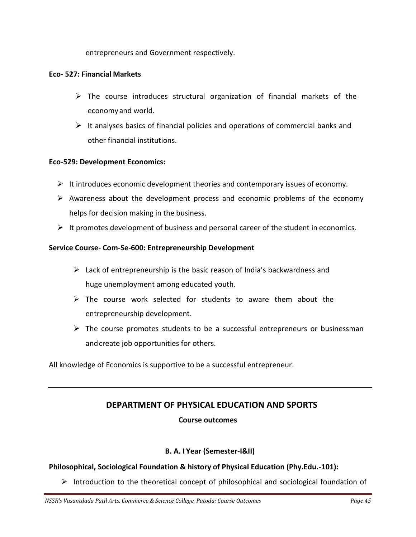entrepreneurs and Government respectively.

### **Eco- 527: Financial Markets**

- $\triangleright$  The course introduces structural organization of financial markets of the economyand world.
- $\triangleright$  It analyses basics of financial policies and operations of commercial banks and other financial institutions.

### **Eco-529: Development Economics:**

- $\triangleright$  It introduces economic development theories and contemporary issues of economy.
- $\triangleright$  Awareness about the development process and economic problems of the economy helps for decision making in the business.
- $\triangleright$  It promotes development of business and personal career of the student in economics.

### **Service Course- Com-Se-600: Entrepreneurship Development**

- $\triangleright$  Lack of entrepreneurship is the basic reason of India's backwardness and huge unemployment among educated youth.
- $\triangleright$  The course work selected for students to aware them about the entrepreneurship development.
- $\triangleright$  The course promotes students to be a successful entrepreneurs or businessman andcreate job opportunities for others.

All knowledge of Economics is supportive to be a successful entrepreneur.

# **DEPARTMENT OF PHYSICAL EDUCATION AND SPORTS Course outcomes**

### **B. A. I Year (Semester-I&II)**

### **Philosophical, Sociological Foundation & history of Physical Education (Phy.Edu.-101):**

 $\triangleright$  Introduction to the theoretical concept of philosophical and sociological foundation of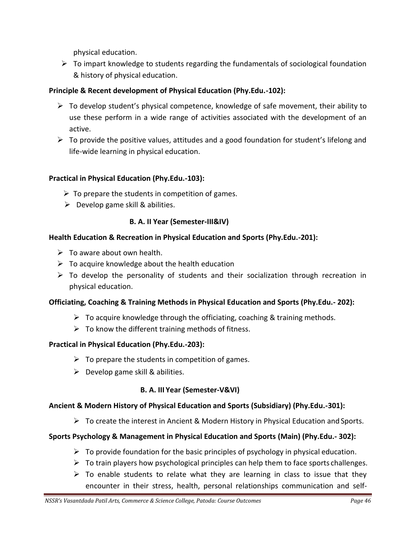physical education.

 $\triangleright$  To impart knowledge to students regarding the fundamentals of sociological foundation & history of physical education.

### **Principle & Recent development of Physical Education (Phy.Edu.-102):**

- $\triangleright$  To develop student's physical competence, knowledge of safe movement, their ability to use these perform in a wide range of activities associated with the development of an active.
- $\triangleright$  To provide the positive values, attitudes and a good foundation for student's lifelong and life-wide learning in physical education.

### **Practical in Physical Education (Phy.Edu.-103):**

- $\triangleright$  To prepare the students in competition of games.
- $\triangleright$  Develop game skill & abilities.

### **B. A. II Year (Semester-III&IV)**

### **Health Education & Recreation in Physical Education and Sports (Phy.Edu.-201):**

- $\triangleright$  To aware about own health.
- $\triangleright$  To acquire knowledge about the health education
- $\triangleright$  To develop the personality of students and their socialization through recreation in physical education.

### **Officiating, Coaching & Training Methods in Physical Education and Sports (Phy.Edu.- 202):**

- $\triangleright$  To acquire knowledge through the officiating, coaching & training methods.
- $\triangleright$  To know the different training methods of fitness.

### **Practical in Physical Education (Phy.Edu.-203):**

- $\triangleright$  To prepare the students in competition of games.
- $\triangleright$  Develop game skill & abilities.

### **B. A. III Year (Semester-V&VI)**

### **Ancient & Modern History of Physical Education and Sports (Subsidiary) (Phy.Edu.-301):**

 $\triangleright$  To create the interest in Ancient & Modern History in Physical Education and Sports.

### **Sports Psychology & Management in Physical Education and Sports (Main) (Phy.Edu.- 302):**

- $\triangleright$  To provide foundation for the basic principles of psychology in physical education.
- $\triangleright$  To train players how psychological principles can help them to face sports challenges.
- $\triangleright$  To enable students to relate what they are learning in class to issue that they encounter in their stress, health, personal relationships communication and self-